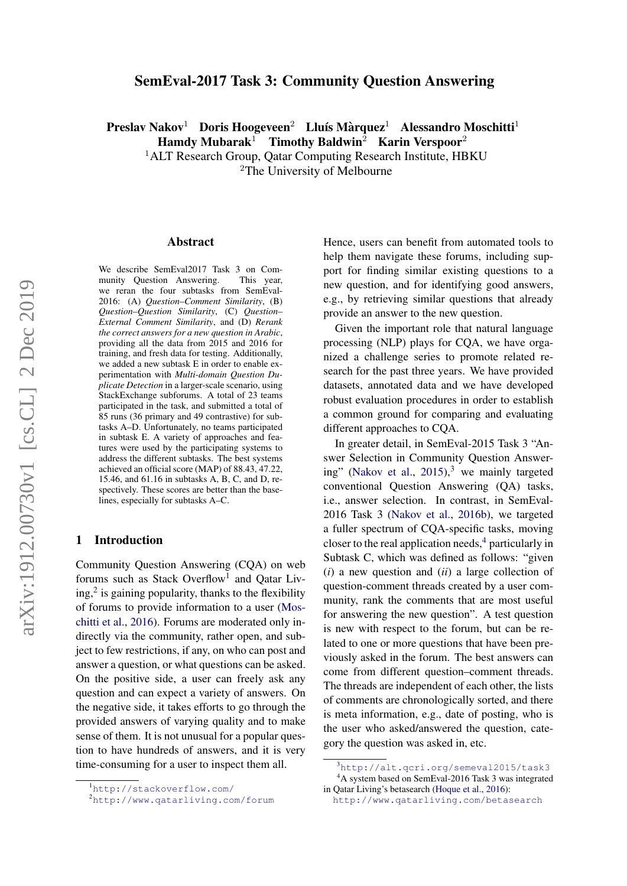# SemEval-2017 Task 3: Community Question Answering

Preslav Nakov<sup>1</sup> Doris Hoogeveen<sup>2</sup> Lluís Màrquez<sup>1</sup> Alessandro Moschitti<sup>1</sup>

 $\text{Hamdy}\text{ Mubarak}^{\text{1}}$  Timothy Baldwin<sup>2</sup> Karin Verspoor<sup>2</sup>

<sup>1</sup>ALT Research Group, Qatar Computing Research Institute, HBKU <sup>2</sup>The University of Melbourne

#### Abstract

We describe SemEval2017 Task 3 on Community Question Answering. This year, we reran the four subtasks from SemEval-2016: (A) *Question–Comment Similarity*, (B) *Question–Question Similarity*, (C) *Question– External Comment Similarity*, and (D) *Rerank the correct answers for a new question in Arabic*, providing all the data from 2015 and 2016 for training, and fresh data for testing. Additionally, we added a new subtask E in order to enable experimentation with *Multi-domain Question Duplicate Detection* in a larger-scale scenario, using StackExchange subforums. A total of 23 teams participated in the task, and submitted a total of 85 runs (36 primary and 49 contrastive) for subtasks A–D. Unfortunately, no teams participated in subtask E. A variety of approaches and features were used by the participating systems to address the different subtasks. The best systems achieved an official score (MAP) of 88.43, 47.22, 15.46, and 61.16 in subtasks A, B, C, and D, respectively. These scores are better than the baselines, especially for subtasks A–C.

## 1 Introduction

Community Question Answering (CQA) on web forums such as Stack Overflow<sup>[1](#page-0-0)</sup> and Qatar Living, $2$  is gaining popularity, thanks to the flexibility of forums to provide information to a user [\(Mos](#page-15-0)[chitti et al.,](#page-15-0) [2016\)](#page-15-0). Forums are moderated only indirectly via the community, rather open, and subject to few restrictions, if any, on who can post and answer a question, or what questions can be asked. On the positive side, a user can freely ask any question and can expect a variety of answers. On the negative side, it takes efforts to go through the provided answers of varying quality and to make sense of them. It is not unusual for a popular question to have hundreds of answers, and it is very time-consuming for a user to inspect them all.

Hence, users can benefit from automated tools to help them navigate these forums, including support for finding similar existing questions to a new question, and for identifying good answers, e.g., by retrieving similar questions that already provide an answer to the new question.

Given the important role that natural language processing (NLP) plays for CQA, we have organized a challenge series to promote related research for the past three years. We have provided datasets, annotated data and we have developed robust evaluation procedures in order to establish a common ground for comparing and evaluating different approaches to CQA.

In greater detail, in SemEval-2015 Task 3 "Answer Selection in Community Question Answer-ing" [\(Nakov et al.,](#page-15-1)  $2015$ ),<sup>[3](#page-0-2)</sup> we mainly targeted conventional Question Answering (QA) tasks, i.e., answer selection. In contrast, in SemEval-2016 Task 3 [\(Nakov et al.,](#page-15-2) [2016b\)](#page-15-2), we targeted a fuller spectrum of CQA-specific tasks, moving closer to the real application needs,  $\frac{4}{3}$  $\frac{4}{3}$  $\frac{4}{3}$  particularly in Subtask C, which was defined as follows: "given (*i*) a new question and (*ii*) a large collection of question-comment threads created by a user community, rank the comments that are most useful for answering the new question". A test question is new with respect to the forum, but can be related to one or more questions that have been previously asked in the forum. The best answers can come from different question–comment threads. The threads are independent of each other, the lists of comments are chronologically sorted, and there is meta information, e.g., date of posting, who is the user who asked/answered the question, category the question was asked in, etc.

<span id="page-0-0"></span><sup>1</sup><http://stackoverflow.com/>

<span id="page-0-1"></span><sup>2</sup><http://www.qatarliving.com/forum>

<span id="page-0-3"></span><span id="page-0-2"></span><sup>3</sup><http://alt.qcri.org/semeval2015/task3> <sup>4</sup>A system based on SemEval-2016 Task 3 was integrated in Qatar Living's betasearch [\(Hoque et al.,](#page-14-0) [2016\)](#page-14-0):

<http://www.qatarliving.com/betasearch>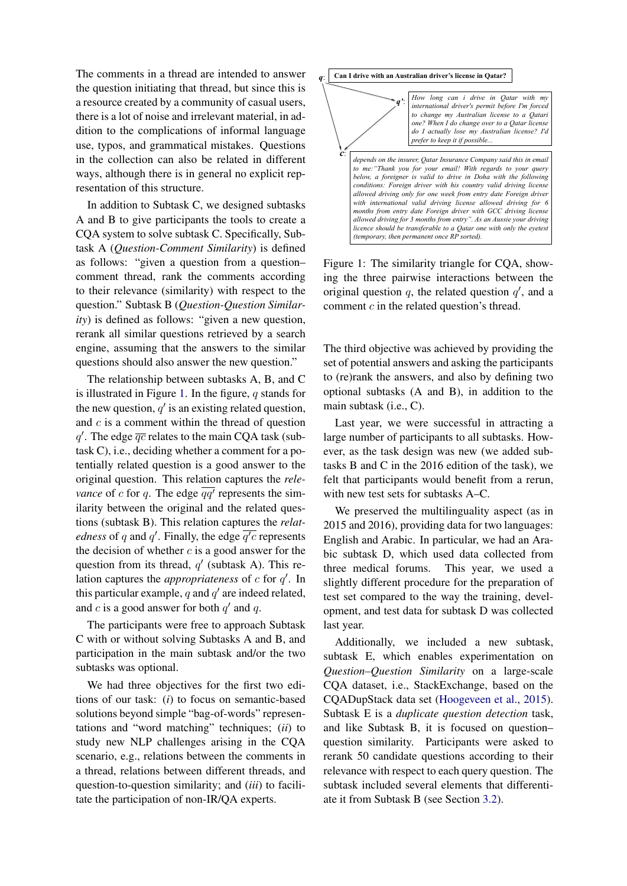The comments in a thread are intended to answer the question initiating that thread, but since this is a resource created by a community of casual users, there is a lot of noise and irrelevant material, in addition to the complications of informal language use, typos, and grammatical mistakes. Questions in the collection can also be related in different ways, although there is in general no explicit representation of this structure.

In addition to Subtask C, we designed subtasks A and B to give participants the tools to create a CQA system to solve subtask C. Specifically, Subtask A (*Question-Comment Similarity*) is defined as follows: "given a question from a question– comment thread, rank the comments according to their relevance (similarity) with respect to the question." Subtask B (*Question-Question Similarity*) is defined as follows: "given a new question, rerank all similar questions retrieved by a search engine, assuming that the answers to the similar questions should also answer the new question."

The relationship between subtasks A, B, and C is illustrated in Figure [1.](#page-1-0) In the figure,  $q$  stands for the new question,  $q'$  is an existing related question, and  $c$  is a comment within the thread of question  $q'$ . The edge  $\overline{qc}$  relates to the main CQA task (subtask C), i.e., deciding whether a comment for a potentially related question is a good answer to the original question. This relation captures the *relevance* of c for q. The edge  $\overline{qq'}$  represents the similarity between the original and the related questions (subtask B). This relation captures the *relatedness* of q and q'. Finally, the edge  $\overline{q'c}$  represents the decision of whether  $c$  is a good answer for the question from its thread,  $q'$  (subtask A). This relation captures the *appropriateness* of  $c$  for  $q'$ . In this particular example, q and  $q'$  are indeed related, and c is a good answer for both  $q'$  and q.

The participants were free to approach Subtask C with or without solving Subtasks A and B, and participation in the main subtask and/or the two subtasks was optional.

We had three objectives for the first two editions of our task: (*i*) to focus on semantic-based solutions beyond simple "bag-of-words" representations and "word matching" techniques; (*ii*) to study new NLP challenges arising in the CQA scenario, e.g., relations between the comments in a thread, relations between different threads, and question-to-question similarity; and (*iii*) to facilitate the participation of non-IR/QA experts.

<span id="page-1-0"></span>

Figure 1: The similarity triangle for CQA, showing the three pairwise interactions between the original question  $q$ , the related question  $q'$ , and a comment  $c$  in the related question's thread.

The third objective was achieved by providing the set of potential answers and asking the participants to (re)rank the answers, and also by defining two optional subtasks (A and B), in addition to the main subtask (i.e., C).

Last year, we were successful in attracting a large number of participants to all subtasks. However, as the task design was new (we added subtasks B and C in the 2016 edition of the task), we felt that participants would benefit from a rerun, with new test sets for subtasks A–C.

We preserved the multilinguality aspect (as in 2015 and 2016), providing data for two languages: English and Arabic. In particular, we had an Arabic subtask D, which used data collected from three medical forums. This year, we used a slightly different procedure for the preparation of test set compared to the way the training, development, and test data for subtask D was collected last year.

Additionally, we included a new subtask, subtask E, which enables experimentation on *Question–Question Similarity* on a large-scale CQA dataset, i.e., StackExchange, based on the CQADupStack data set [\(Hoogeveen et al.,](#page-14-1) [2015\)](#page-14-1). Subtask E is a *duplicate question detection* task, and like Subtask B, it is focused on question– question similarity. Participants were asked to rerank 50 candidate questions according to their relevance with respect to each query question. The subtask included several elements that differentiate it from Subtask B (see Section [3.2\)](#page-6-0).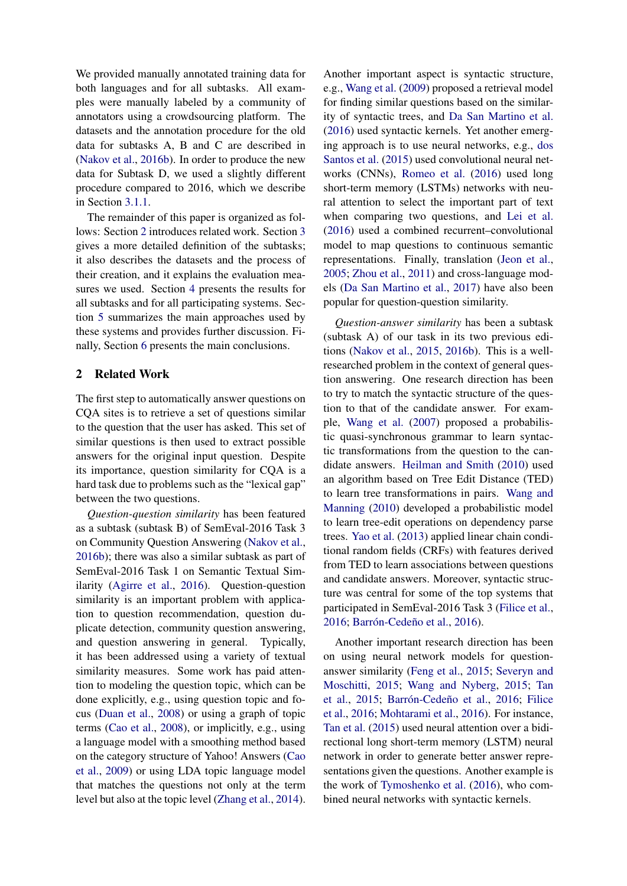We provided manually annotated training data for both languages and for all subtasks. All examples were manually labeled by a community of annotators using a crowdsourcing platform. The datasets and the annotation procedure for the old data for subtasks A, B and C are described in [\(Nakov et al.,](#page-15-2) [2016b\)](#page-15-2). In order to produce the new data for Subtask D, we used a slightly different procedure compared to 2016, which we describe in Section [3.1.1.](#page-6-1)

The remainder of this paper is organized as follows: Section [2](#page-2-0) introduces related work. Section [3](#page-4-0) gives a more detailed definition of the subtasks; it also describes the datasets and the process of their creation, and it explains the evaluation measures we used. Section [4](#page-8-0) presents the results for all subtasks and for all participating systems. Section [5](#page-10-0) summarizes the main approaches used by these systems and provides further discussion. Finally, Section [6](#page-11-0) presents the main conclusions.

# <span id="page-2-0"></span>2 Related Work

The first step to automatically answer questions on CQA sites is to retrieve a set of questions similar to the question that the user has asked. This set of similar questions is then used to extract possible answers for the original input question. Despite its importance, question similarity for CQA is a hard task due to problems such as the "lexical gap" between the two questions.

*Question-question similarity* has been featured as a subtask (subtask B) of SemEval-2016 Task 3 on Community Question Answering [\(Nakov et al.,](#page-15-2) [2016b\)](#page-15-2); there was also a similar subtask as part of SemEval-2016 Task 1 on Semantic Textual Similarity [\(Agirre et al.,](#page-12-0) [2016\)](#page-12-0). Question-question similarity is an important problem with application to question recommendation, question duplicate detection, community question answering, and question answering in general. Typically, it has been addressed using a variety of textual similarity measures. Some work has paid attention to modeling the question topic, which can be done explicitly, e.g., using question topic and focus [\(Duan et al.,](#page-13-0) [2008\)](#page-13-0) or using a graph of topic terms [\(Cao et al.,](#page-12-1) [2008\)](#page-12-1), or implicitly, e.g., using a language model with a smoothing method based on the category structure of Yahoo! Answers [\(Cao](#page-12-2) [et al.,](#page-12-2) [2009\)](#page-12-2) or using LDA topic language model that matches the questions not only at the term level but also at the topic level [\(Zhang et al.,](#page-16-0) [2014\)](#page-16-0).

Another important aspect is syntactic structure, e.g., [Wang et al.](#page-16-1) [\(2009\)](#page-16-1) proposed a retrieval model for finding similar questions based on the similarity of syntactic trees, and [Da San Martino et al.](#page-12-3) [\(2016\)](#page-12-3) used syntactic kernels. Yet another emerging approach is to use neural networks, e.g., [dos](#page-13-1) [Santos et al.](#page-13-1) [\(2015\)](#page-13-1) used convolutional neural networks (CNNs), [Romeo et al.](#page-15-3) [\(2016\)](#page-15-3) used long short-term memory (LSTMs) networks with neural attention to select the important part of text when comparing two questions, and [Lei et al.](#page-14-2) [\(2016\)](#page-14-2) used a combined recurrent–convolutional model to map questions to continuous semantic representations. Finally, translation [\(Jeon et al.,](#page-14-3) [2005;](#page-14-3) [Zhou et al.,](#page-16-2) [2011\)](#page-16-2) and cross-language models [\(Da San Martino et al.,](#page-13-2) [2017\)](#page-13-2) have also been popular for question-question similarity.

*Question-answer similarity* has been a subtask (subtask A) of our task in its two previous editions [\(Nakov et al.,](#page-15-1) [2015,](#page-15-1) [2016b\)](#page-15-2). This is a wellresearched problem in the context of general question answering. One research direction has been to try to match the syntactic structure of the question to that of the candidate answer. For example, [Wang et al.](#page-16-3) [\(2007\)](#page-16-3) proposed a probabilistic quasi-synchronous grammar to learn syntactic transformations from the question to the candidate answers. [Heilman and Smith](#page-13-3) [\(2010\)](#page-13-3) used an algorithm based on Tree Edit Distance (TED) to learn tree transformations in pairs. [Wang and](#page-16-4) [Manning](#page-16-4) [\(2010\)](#page-16-4) developed a probabilistic model to learn tree-edit operations on dependency parse trees. [Yao et al.](#page-16-5) [\(2013\)](#page-16-5) applied linear chain conditional random fields (CRFs) with features derived from TED to learn associations between questions and candidate answers. Moreover, syntactic structure was central for some of the top systems that participated in SemEval-2016 Task 3 [\(Filice et al.,](#page-13-4) [2016;](#page-13-4) Barrón-Cedeño et al., [2016\)](#page-12-4).

Another important research direction has been on using neural network models for questionanswer similarity [\(Feng et al.,](#page-13-5) [2015;](#page-13-5) [Severyn and](#page-15-4) [Moschitti,](#page-15-4) [2015;](#page-15-4) [Wang and Nyberg,](#page-16-6) [2015;](#page-16-6) [Tan](#page-15-5) [et al.,](#page-15-5) [2015;](#page-15-5) Barrón-Cedeño et al., [2016;](#page-12-4) [Filice](#page-13-4) [et al.,](#page-13-4) [2016;](#page-13-4) [Mohtarami et al.,](#page-15-6) [2016\)](#page-15-6). For instance, [Tan et al.](#page-15-5) [\(2015\)](#page-15-5) used neural attention over a bidirectional long short-term memory (LSTM) neural network in order to generate better answer representations given the questions. Another example is the work of [Tymoshenko et al.](#page-16-7) [\(2016\)](#page-16-7), who combined neural networks with syntactic kernels.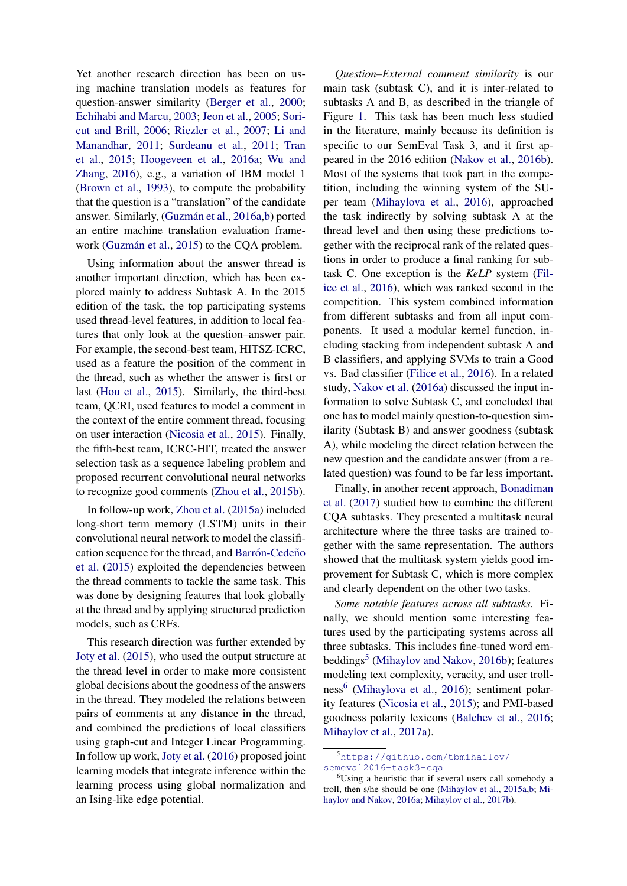Yet another research direction has been on using machine translation models as features for question-answer similarity [\(Berger et al.,](#page-12-5) [2000;](#page-12-5) [Echihabi and Marcu,](#page-13-6) [2003;](#page-13-6) [Jeon et al.,](#page-14-3) [2005;](#page-14-3) [Sori](#page-15-7)[cut and Brill,](#page-15-7) [2006;](#page-15-7) [Riezler et al.,](#page-15-8) [2007;](#page-15-8) [Li and](#page-14-4) [Manandhar,](#page-14-4) [2011;](#page-14-4) [Surdeanu et al.,](#page-15-9) [2011;](#page-15-9) [Tran](#page-16-8) [et al.,](#page-16-8) [2015;](#page-16-8) [Hoogeveen et al.,](#page-13-7) [2016a;](#page-13-7) [Wu and](#page-16-9) [Zhang,](#page-16-9) [2016\)](#page-16-9), e.g., a variation of IBM model 1 [\(Brown et al.,](#page-12-6) [1993\)](#page-12-6), to compute the probability that the question is a "translation" of the candidate answer. Similarly, (Guzmán et al., [2016a](#page-13-8)[,b\)](#page-13-9) ported an entire machine translation evaluation frame-work (Guzmán et al., [2015\)](#page-13-10) to the CQA problem.

Using information about the answer thread is another important direction, which has been explored mainly to address Subtask A. In the 2015 edition of the task, the top participating systems used thread-level features, in addition to local features that only look at the question–answer pair. For example, the second-best team, HITSZ-ICRC, used as a feature the position of the comment in the thread, such as whether the answer is first or last [\(Hou et al.,](#page-14-5) [2015\)](#page-14-5). Similarly, the third-best team, QCRI, used features to model a comment in the context of the entire comment thread, focusing on user interaction [\(Nicosia et al.,](#page-15-10) [2015\)](#page-15-10). Finally, the fifth-best team, ICRC-HIT, treated the answer selection task as a sequence labeling problem and proposed recurrent convolutional neural networks to recognize good comments [\(Zhou et al.,](#page-16-10) [2015b\)](#page-16-10).

In follow-up work, [Zhou et al.](#page-16-11) [\(2015a\)](#page-16-11) included long-short term memory (LSTM) units in their convolutional neural network to model the classification sequence for the thread, and Barrón-Cedeño [et al.](#page-12-7) [\(2015\)](#page-12-7) exploited the dependencies between the thread comments to tackle the same task. This was done by designing features that look globally at the thread and by applying structured prediction models, such as CRFs.

This research direction was further extended by [Joty et al.](#page-14-6) [\(2015\)](#page-14-6), who used the output structure at the thread level in order to make more consistent global decisions about the goodness of the answers in the thread. They modeled the relations between pairs of comments at any distance in the thread, and combined the predictions of local classifiers using graph-cut and Integer Linear Programming. In follow up work, [Joty et al.](#page-14-7) [\(2016\)](#page-14-7) proposed joint learning models that integrate inference within the learning process using global normalization and an Ising-like edge potential.

*Question–External comment similarity* is our main task (subtask C), and it is inter-related to subtasks A and B, as described in the triangle of Figure [1.](#page-1-0) This task has been much less studied in the literature, mainly because its definition is specific to our SemEval Task 3, and it first appeared in the 2016 edition [\(Nakov et al.,](#page-15-2) [2016b\)](#page-15-2). Most of the systems that took part in the competition, including the winning system of the SUper team [\(Mihaylova et al.,](#page-14-8) [2016\)](#page-14-8), approached the task indirectly by solving subtask A at the thread level and then using these predictions together with the reciprocal rank of the related questions in order to produce a final ranking for subtask C. One exception is the *KeLP* system [\(Fil](#page-13-4)[ice et al.,](#page-13-4) [2016\)](#page-13-4), which was ranked second in the competition. This system combined information from different subtasks and from all input components. It used a modular kernel function, including stacking from independent subtask A and B classifiers, and applying SVMs to train a Good vs. Bad classifier [\(Filice et al.,](#page-13-4) [2016\)](#page-13-4). In a related study, [Nakov et al.](#page-15-11) [\(2016a\)](#page-15-11) discussed the input information to solve Subtask C, and concluded that one has to model mainly question-to-question similarity (Subtask B) and answer goodness (subtask A), while modeling the direct relation between the new question and the candidate answer (from a related question) was found to be far less important.

Finally, in another recent approach, [Bonadiman](#page-12-8) [et al.](#page-12-8) [\(2017\)](#page-12-8) studied how to combine the different CQA subtasks. They presented a multitask neural architecture where the three tasks are trained together with the same representation. The authors showed that the multitask system yields good improvement for Subtask C, which is more complex and clearly dependent on the other two tasks.

*Some notable features across all subtasks.* Finally, we should mention some interesting features used by the participating systems across all three subtasks. This includes fine-tuned word em-beddings<sup>[5](#page-3-0)</sup> [\(Mihaylov and Nakov,](#page-14-9) [2016b\)](#page-14-9); features modeling text complexity, veracity, and user troll-ness<sup>[6](#page-3-1)</sup> [\(Mihaylova et al.,](#page-14-8) [2016\)](#page-14-8); sentiment polarity features [\(Nicosia et al.,](#page-15-10) [2015\)](#page-15-10); and PMI-based goodness polarity lexicons [\(Balchev et al.,](#page-12-9) [2016;](#page-12-9) [Mihaylov et al.,](#page-14-10) [2017a\)](#page-14-10).

<span id="page-3-0"></span><sup>5</sup>[https://github.com/tbmihailov/](https://github.com/tbmihailov/semeval2016-task3-cqa) [semeval2016-task3-cqa](https://github.com/tbmihailov/semeval2016-task3-cqa)

<span id="page-3-1"></span><sup>&</sup>lt;sup>6</sup>Using a heuristic that if several users call somebody a troll, then s/he should be one [\(Mihaylov et al.,](#page-14-11) [2015a,](#page-14-11)[b;](#page-14-12) [Mi](#page-14-13)[haylov and Nakov,](#page-14-13) [2016a;](#page-14-13) [Mihaylov et al.,](#page-14-14) [2017b\)](#page-14-14).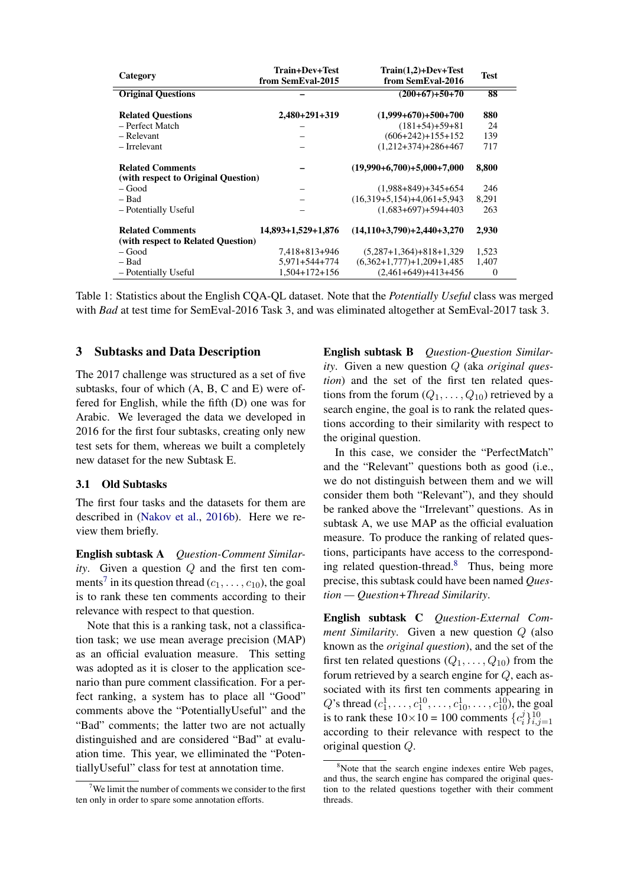<span id="page-4-3"></span>

| Category                                                      | Train+Dev+Test<br>from SemEval-2015 | $Train(1,2)+Dev+Test$<br>from SemEval-2016 | <b>Test</b> |
|---------------------------------------------------------------|-------------------------------------|--------------------------------------------|-------------|
| <b>Original Questions</b>                                     |                                     | $(200+67)+50+70$                           | 88          |
| <b>Related Questions</b>                                      | $2,480+291+319$                     | $(1,999+670)+500+700$                      | 880         |
| - Perfect Match                                               |                                     | $(181+54)+59+81$                           | 24          |
| – Relevant                                                    |                                     | $(606+242)+155+152$                        | 139         |
| – Irrelevant                                                  |                                     | $(1,212+374)+286+467$                      | 717         |
| <b>Related Comments</b>                                       |                                     | $(19,990+6,700)+5,000+7,000$               | 8,800       |
| (with respect to Original Question)                           |                                     |                                            |             |
| – Good                                                        |                                     | $(1,988+849)+345+654$                      | 246         |
| - Bad                                                         |                                     | $(16,319+5,154)+4,061+5,943$               | 8,291       |
| - Potentially Useful                                          |                                     | $(1,683+697)+594+403$                      | 263         |
| <b>Related Comments</b><br>(with respect to Related Question) | 14,893+1,529+1,876                  | $(14,110+3,790)+2,440+3,270$               | 2,930       |
| – Good                                                        | 7.418+813+946                       | $(5,287+1,364)+818+1,329$                  | 1,523       |
| – Bad                                                         | 5,971+544+774                       | $(6,362+1,777)+1,209+1,485$                | 1,407       |
| - Potentially Useful                                          | $1,504+172+156$                     | $(2,461+649)+413+456$                      | $\theta$    |

Table 1: Statistics about the English CQA-QL dataset. Note that the *Potentially Useful* class was merged with *Bad* at test time for SemEval-2016 Task 3, and was eliminated altogether at SemEval-2017 task 3.

# <span id="page-4-0"></span>3 Subtasks and Data Description

The 2017 challenge was structured as a set of five subtasks, four of which (A, B, C and E) were offered for English, while the fifth (D) one was for Arabic. We leveraged the data we developed in 2016 for the first four subtasks, creating only new test sets for them, whereas we built a completely new dataset for the new Subtask E.

#### 3.1 Old Subtasks

The first four tasks and the datasets for them are described in [\(Nakov et al.,](#page-15-2) [2016b\)](#page-15-2). Here we review them briefly.

English subtask A *Question-Comment Similarity*. Given a question Q and the first ten com-ments<sup>[7](#page-4-1)</sup> in its question thread  $(c_1, \ldots, c_{10})$ , the goal is to rank these ten comments according to their relevance with respect to that question.

Note that this is a ranking task, not a classification task; we use mean average precision (MAP) as an official evaluation measure. This setting was adopted as it is closer to the application scenario than pure comment classification. For a perfect ranking, a system has to place all "Good" comments above the "PotentiallyUseful" and the "Bad" comments; the latter two are not actually distinguished and are considered "Bad" at evaluation time. This year, we elliminated the "PotentiallyUseful" class for test at annotation time.

English subtask B *Question-Question Similarity*. Given a new question Q (aka *original question*) and the set of the first ten related questions from the forum  $(Q_1, \ldots, Q_{10})$  retrieved by a search engine, the goal is to rank the related questions according to their similarity with respect to the original question.

In this case, we consider the "PerfectMatch" and the "Relevant" questions both as good (i.e., we do not distinguish between them and we will consider them both "Relevant"), and they should be ranked above the "Irrelevant" questions. As in subtask A, we use MAP as the official evaluation measure. To produce the ranking of related questions, participants have access to the corresponding related question-thread.[8](#page-4-2) Thus, being more precise, this subtask could have been named *Question — Question+Thread Similarity*.

English subtask C *Question-External Comment Similarity*. Given a new question Q (also known as the *original question*), and the set of the first ten related questions  $(Q_1, \ldots, Q_{10})$  from the forum retrieved by a search engine for Q, each associated with its first ten comments appearing in Q's thread  $(c_1^1, \ldots, c_1^{10}, \ldots, c_{10}^1, \ldots, c_{10}^{10})$ , the goal is to rank these  $10 \times 10 = 100$  comments  $\{c_i^j\}$  $\{i}\}_{i,j=1}^{10}$ according to their relevance with respect to the original question Q.

<span id="page-4-1"></span> $7$ We limit the number of comments we consider to the first ten only in order to spare some annotation efforts.

<span id="page-4-2"></span> $8$ Note that the search engine indexes entire Web pages, and thus, the search engine has compared the original question to the related questions together with their comment threads.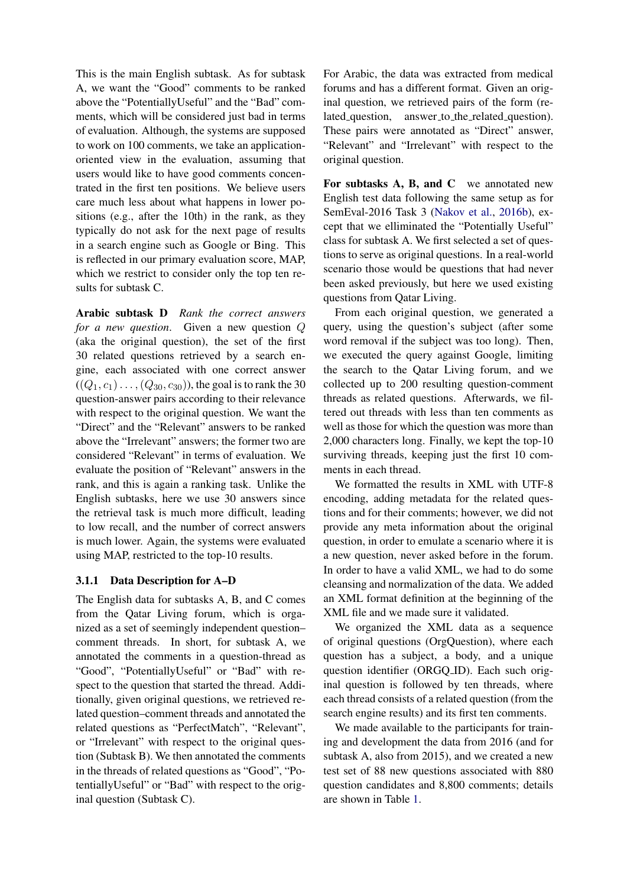This is the main English subtask. As for subtask A, we want the "Good" comments to be ranked above the "PotentiallyUseful" and the "Bad" comments, which will be considered just bad in terms of evaluation. Although, the systems are supposed to work on 100 comments, we take an applicationoriented view in the evaluation, assuming that users would like to have good comments concentrated in the first ten positions. We believe users care much less about what happens in lower positions (e.g., after the 10th) in the rank, as they typically do not ask for the next page of results in a search engine such as Google or Bing. This is reflected in our primary evaluation score, MAP, which we restrict to consider only the top ten results for subtask C.

Arabic subtask D *Rank the correct answers for a new question*. Given a new question Q (aka the original question), the set of the first 30 related questions retrieved by a search engine, each associated with one correct answer  $((Q_1, c_1) \ldots, (Q_{30}, c_{30}))$ , the goal is to rank the 30 question-answer pairs according to their relevance with respect to the original question. We want the "Direct" and the "Relevant" answers to be ranked above the "Irrelevant" answers; the former two are considered "Relevant" in terms of evaluation. We evaluate the position of "Relevant" answers in the rank, and this is again a ranking task. Unlike the English subtasks, here we use 30 answers since the retrieval task is much more difficult, leading to low recall, and the number of correct answers is much lower. Again, the systems were evaluated using MAP, restricted to the top-10 results.

# 3.1.1 Data Description for A–D

The English data for subtasks A, B, and C comes from the Qatar Living forum, which is organized as a set of seemingly independent question– comment threads. In short, for subtask A, we annotated the comments in a question-thread as "Good", "PotentiallyUseful" or "Bad" with respect to the question that started the thread. Additionally, given original questions, we retrieved related question–comment threads and annotated the related questions as "PerfectMatch", "Relevant", or "Irrelevant" with respect to the original question (Subtask B). We then annotated the comments in the threads of related questions as "Good", "PotentiallyUseful" or "Bad" with respect to the original question (Subtask C).

For Arabic, the data was extracted from medical forums and has a different format. Given an original question, we retrieved pairs of the form (related\_question, answer\_to\_the\_related\_question). These pairs were annotated as "Direct" answer, "Relevant" and "Irrelevant" with respect to the original question.

For subtasks A, B, and C we annotated new English test data following the same setup as for SemEval-2016 Task 3 [\(Nakov et al.,](#page-15-2) [2016b\)](#page-15-2), except that we elliminated the "Potentially Useful" class for subtask A. We first selected a set of questions to serve as original questions. In a real-world scenario those would be questions that had never been asked previously, but here we used existing questions from Qatar Living.

From each original question, we generated a query, using the question's subject (after some word removal if the subject was too long). Then, we executed the query against Google, limiting the search to the Qatar Living forum, and we collected up to 200 resulting question-comment threads as related questions. Afterwards, we filtered out threads with less than ten comments as well as those for which the question was more than 2,000 characters long. Finally, we kept the top-10 surviving threads, keeping just the first 10 comments in each thread.

We formatted the results in XML with UTF-8 encoding, adding metadata for the related questions and for their comments; however, we did not provide any meta information about the original question, in order to emulate a scenario where it is a new question, never asked before in the forum. In order to have a valid XML, we had to do some cleansing and normalization of the data. We added an XML format definition at the beginning of the XML file and we made sure it validated.

We organized the XML data as a sequence of original questions (OrgQuestion), where each question has a subject, a body, and a unique question identifier (ORGQ ID). Each such original question is followed by ten threads, where each thread consists of a related question (from the search engine results) and its first ten comments.

We made available to the participants for training and development the data from 2016 (and for subtask A, also from 2015), and we created a new test set of 88 new questions associated with 880 question candidates and 8,800 comments; details are shown in Table [1.](#page-4-3)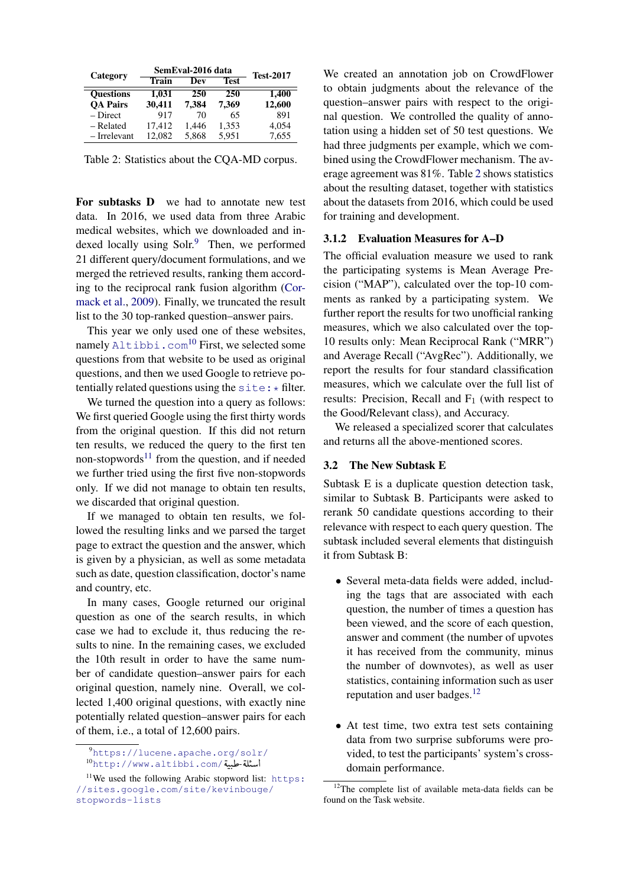<span id="page-6-1"></span>

| Category         |              | SemEval-2016 data | <b>Test-2017</b> |        |
|------------------|--------------|-------------------|------------------|--------|
|                  | <b>Train</b> | Dev               | Test             |        |
| <b>Ouestions</b> | 1,031        | 250               | 250              | 1,400  |
| <b>OA Pairs</b>  | 30,411       | 7,384             | 7,369            | 12,600 |
| – Direct         | 917          | 70                | 65               | 891    |
| – Related        | 17.412       | 1,446             | 1,353            | 4,054  |
| - Irrelevant     | 12.082       | 5,868             | 5,951            | 7,655  |

Table 2: Statistics about the CQA-MD corpus.

For subtasks D we had to annotate new test data. In 2016, we used data from three Arabic medical websites, which we downloaded and indexed locally using  $Solv^{9}$  $Solv^{9}$  $Solv^{9}$  Then, we performed 21 different query/document formulations, and we merged the retrieved results, ranking them according to the reciprocal rank fusion algorithm [\(Cor](#page-12-10)[mack et al.,](#page-12-10) [2009\)](#page-12-10). Finally, we truncated the result list to the 30 top-ranked question–answer pairs.

This year we only used one of these websites, namely  $\text{Altibbi.com}^{10}$  $\text{Altibbi.com}^{10}$  $\text{Altibbi.com}^{10}$  $\text{Altibbi.com}^{10}$  $\text{Altibbi.com}^{10}$  First, we selected some questions from that website to be used as original questions, and then we used Google to retrieve potentially related questions using the  $\text{site}:$   $*$  filter.

We turned the question into a query as follows: We first queried Google using the first thirty words from the original question. If this did not return ten results, we reduced the query to the first ten non-stopwords $11$  from the question, and if needed we further tried using the first five non-stopwords only. If we did not manage to obtain ten results, we discarded that original question.

If we managed to obtain ten results, we followed the resulting links and we parsed the target page to extract the question and the answer, which is given by a physician, as well as some metadata such as date, question classification, doctor's name and country, etc.

In many cases, Google returned our original question as one of the search results, in which case we had to exclude it, thus reducing the results to nine. In the remaining cases, we excluded the 10th result in order to have the same number of candidate question–answer pairs for each original question, namely nine. Overall, we collected 1,400 original questions, with exactly nine potentially related question–answer pairs for each of them, i.e., a total of 12,600 pairs.

We created an annotation job on CrowdFlower to obtain judgments about the relevance of the question–answer pairs with respect to the original question. We controlled the quality of annotation using a hidden set of 50 test questions. We had three judgments per example, which we combined using the CrowdFlower mechanism. The average agreement was 81%. Table [2](#page-6-1) shows statistics about the resulting dataset, together with statistics about the datasets from 2016, which could be used for training and development.

## 3.1.2 Evaluation Measures for A–D

The official evaluation measure we used to rank the participating systems is Mean Average Precision ("MAP"), calculated over the top-10 comments as ranked by a participating system. We further report the results for two unofficial ranking measures, which we also calculated over the top-10 results only: Mean Reciprocal Rank ("MRR") and Average Recall ("AvgRec"). Additionally, we report the results for four standard classification measures, which we calculate over the full list of results: Precision, Recall and  $F_1$  (with respect to the Good/Relevant class), and Accuracy.

We released a specialized scorer that calculates and returns all the above-mentioned scores.

## <span id="page-6-0"></span>3.2 The New Subtask E

Subtask E is a duplicate question detection task, similar to Subtask B. Participants were asked to rerank 50 candidate questions according to their relevance with respect to each query question. The subtask included several elements that distinguish it from Subtask B:

- Several meta-data fields were added, including the tags that are associated with each question, the number of times a question has been viewed, and the score of each question, answer and comment (the number of upvotes it has received from the community, minus the number of downvotes), as well as user statistics, containing information such as user reputation and user badges.<sup>[12](#page-6-5)</sup>
- At test time, two extra test sets containing data from two surprise subforums were provided, to test the participants' system's crossdomain performance.

<span id="page-6-3"></span><span id="page-6-2"></span><sup>9</sup><https://lucene.apache.org/solr/> https://lucene.apache.org/soli<sup>0</sup><br>ا**سئلة حلبية**/www.altibbi.com/ ļ ັ້ 3<br>..

<span id="page-6-4"></span> $11$ We used the following Arabic stopword list: [https:](https://sites.google.com/site/kevinbouge/stopwords-lists) [//sites.google.com/site/kevinbouge/](https://sites.google.com/site/kevinbouge/stopwords-lists) [stopwords-lists](https://sites.google.com/site/kevinbouge/stopwords-lists)

<span id="page-6-5"></span> $12$ The complete list of available meta-data fields can be found on the Task website.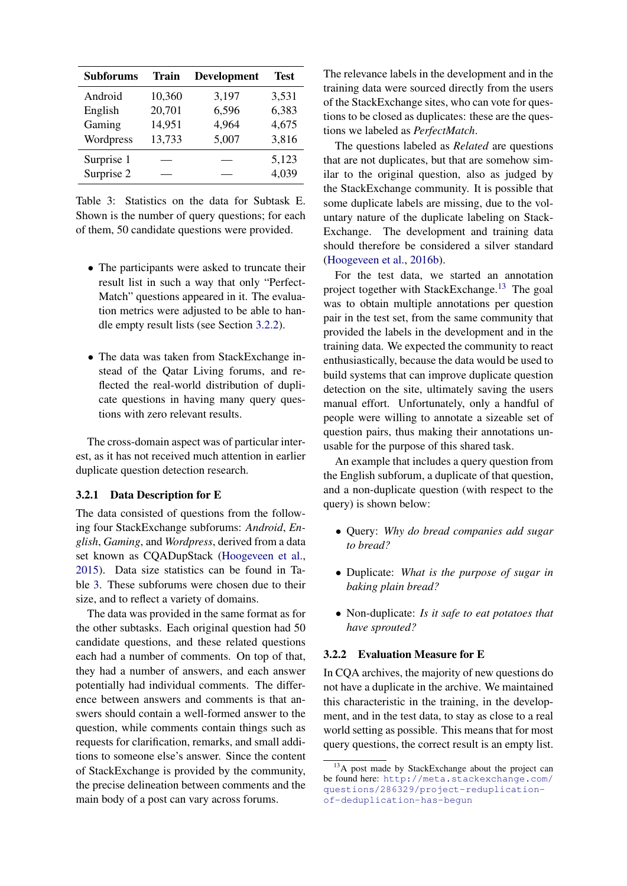<span id="page-7-1"></span>

| <b>Subforums</b> | Train  | <b>Development</b> | <b>Test</b> |
|------------------|--------|--------------------|-------------|
| Android          | 10,360 | 3,197              | 3,531       |
| English          | 20,701 | 6,596              | 6,383       |
| Gaming           | 14,951 | 4,964              | 4,675       |
| Wordpress        | 13,733 | 5,007              | 3,816       |
| Surprise 1       |        |                    | 5,123       |
| Surprise 2       |        |                    | 4,039       |

Table 3: Statistics on the data for Subtask E. Shown is the number of query questions; for each of them, 50 candidate questions were provided.

- The participants were asked to truncate their result list in such a way that only "Perfect-Match" questions appeared in it. The evaluation metrics were adjusted to be able to handle empty result lists (see Section [3.2.2\)](#page-7-0).
- The data was taken from StackExchange instead of the Qatar Living forums, and reflected the real-world distribution of duplicate questions in having many query questions with zero relevant results.

The cross-domain aspect was of particular interest, as it has not received much attention in earlier duplicate question detection research.

#### 3.2.1 Data Description for E

The data consisted of questions from the following four StackExchange subforums: *Android*, *English*, *Gaming*, and *Wordpress*, derived from a data set known as CQADupStack [\(Hoogeveen et al.,](#page-14-1) [2015\)](#page-14-1). Data size statistics can be found in Table [3.](#page-7-1) These subforums were chosen due to their size, and to reflect a variety of domains.

The data was provided in the same format as for the other subtasks. Each original question had 50 candidate questions, and these related questions each had a number of comments. On top of that, they had a number of answers, and each answer potentially had individual comments. The difference between answers and comments is that answers should contain a well-formed answer to the question, while comments contain things such as requests for clarification, remarks, and small additions to someone else's answer. Since the content of StackExchange is provided by the community, the precise delineation between comments and the main body of a post can vary across forums.

The relevance labels in the development and in the training data were sourced directly from the users of the StackExchange sites, who can vote for questions to be closed as duplicates: these are the questions we labeled as *PerfectMatch*.

The questions labeled as *Related* are questions that are not duplicates, but that are somehow similar to the original question, also as judged by the StackExchange community. It is possible that some duplicate labels are missing, due to the voluntary nature of the duplicate labeling on Stack-Exchange. The development and training data should therefore be considered a silver standard [\(Hoogeveen et al.,](#page-13-11) [2016b\)](#page-13-11).

For the test data, we started an annotation project together with StackExchange.[13](#page-7-2) The goal was to obtain multiple annotations per question pair in the test set, from the same community that provided the labels in the development and in the training data. We expected the community to react enthusiastically, because the data would be used to build systems that can improve duplicate question detection on the site, ultimately saving the users manual effort. Unfortunately, only a handful of people were willing to annotate a sizeable set of question pairs, thus making their annotations unusable for the purpose of this shared task.

An example that includes a query question from the English subforum, a duplicate of that question, and a non-duplicate question (with respect to the query) is shown below:

- Query: *Why do bread companies add sugar to bread?*
- Duplicate: *What is the purpose of sugar in baking plain bread?*
- Non-duplicate: *Is it safe to eat potatoes that have sprouted?*

## <span id="page-7-0"></span>3.2.2 Evaluation Measure for E

In CQA archives, the majority of new questions do not have a duplicate in the archive. We maintained this characteristic in the training, in the development, and in the test data, to stay as close to a real world setting as possible. This means that for most query questions, the correct result is an empty list.

<span id="page-7-2"></span><sup>&</sup>lt;sup>13</sup>A post made by StackExchange about the project can be found here: [http://meta.stackexchange.com/](http://meta.stackexchange.com/questions/286329/project-reduplication-of-deduplication-has-begun) [questions/286329/project-reduplication](http://meta.stackexchange.com/questions/286329/project-reduplication-of-deduplication-has-begun)[of-deduplication-has-begun](http://meta.stackexchange.com/questions/286329/project-reduplication-of-deduplication-has-begun)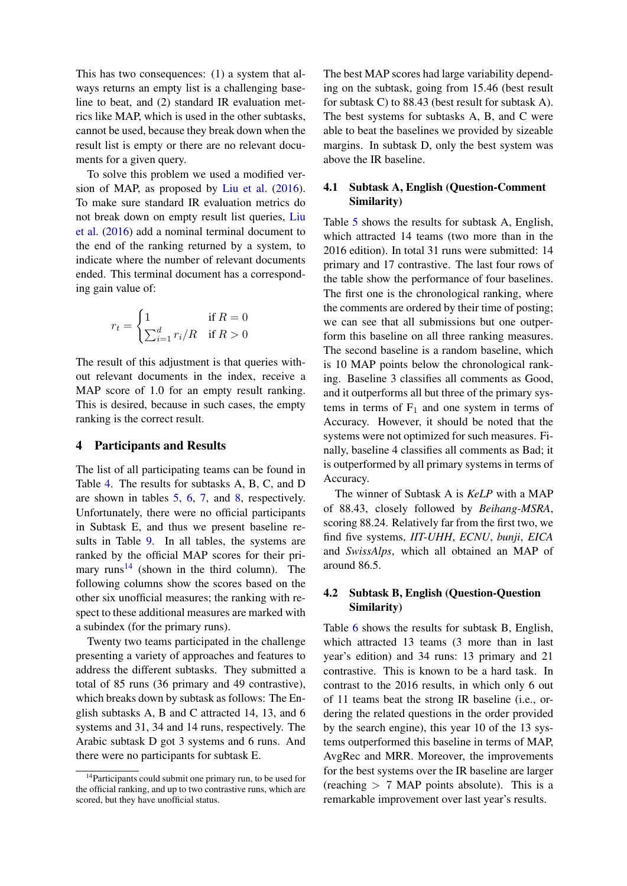This has two consequences: (1) a system that always returns an empty list is a challenging baseline to beat, and (2) standard IR evaluation metrics like MAP, which is used in the other subtasks, cannot be used, because they break down when the result list is empty or there are no relevant documents for a given query.

To solve this problem we used a modified version of MAP, as proposed by [Liu et al.](#page-14-15) [\(2016\)](#page-14-15). To make sure standard IR evaluation metrics do not break down on empty result list queries, [Liu](#page-14-15) [et al.](#page-14-15) [\(2016\)](#page-14-15) add a nominal terminal document to the end of the ranking returned by a system, to indicate where the number of relevant documents ended. This terminal document has a corresponding gain value of:

$$
r_t = \begin{cases} 1 & \text{if } R = 0\\ \sum_{i=1}^d r_i/R & \text{if } R > 0 \end{cases}
$$

The result of this adjustment is that queries without relevant documents in the index, receive a MAP score of 1.0 for an empty result ranking. This is desired, because in such cases, the empty ranking is the correct result.

## <span id="page-8-0"></span>4 Participants and Results

The list of all participating teams can be found in Table [4.](#page-17-0) The results for subtasks A, B, C, and D are shown in tables [5,](#page-18-0) [6,](#page-19-0) [7,](#page-20-0) and [8,](#page-20-1) respectively. Unfortunately, there were no official participants in Subtask E, and thus we present baseline results in Table [9.](#page-21-0) In all tables, the systems are ranked by the official MAP scores for their pri-mary runs<sup>[14](#page-8-1)</sup> (shown in the third column). The following columns show the scores based on the other six unofficial measures; the ranking with respect to these additional measures are marked with a subindex (for the primary runs).

Twenty two teams participated in the challenge presenting a variety of approaches and features to address the different subtasks. They submitted a total of 85 runs (36 primary and 49 contrastive), which breaks down by subtask as follows: The English subtasks A, B and C attracted 14, 13, and 6 systems and 31, 34 and 14 runs, respectively. The Arabic subtask D got 3 systems and 6 runs. And there were no participants for subtask E.

The best MAP scores had large variability depending on the subtask, going from 15.46 (best result for subtask C) to 88.43 (best result for subtask A). The best systems for subtasks A, B, and C were able to beat the baselines we provided by sizeable margins. In subtask D, only the best system was above the IR baseline.

# 4.1 Subtask A, English (Question-Comment Similarity)

Table [5](#page-18-0) shows the results for subtask A, English, which attracted 14 teams (two more than in the 2016 edition). In total 31 runs were submitted: 14 primary and 17 contrastive. The last four rows of the table show the performance of four baselines. The first one is the chronological ranking, where the comments are ordered by their time of posting; we can see that all submissions but one outperform this baseline on all three ranking measures. The second baseline is a random baseline, which is 10 MAP points below the chronological ranking. Baseline 3 classifies all comments as Good, and it outperforms all but three of the primary systems in terms of  $F_1$  and one system in terms of Accuracy. However, it should be noted that the systems were not optimized for such measures. Finally, baseline 4 classifies all comments as Bad; it is outperformed by all primary systems in terms of Accuracy.

The winner of Subtask A is *KeLP* with a MAP of 88.43, closely followed by *Beihang-MSRA*, scoring 88.24. Relatively far from the first two, we find five systems, *IIT-UHH*, *ECNU*, *bunji*, *EICA* and *SwissAlps*, which all obtained an MAP of around 86.5.

# 4.2 Subtask B, English (Question-Question Similarity)

Table [6](#page-19-0) shows the results for subtask B, English, which attracted 13 teams (3 more than in last year's edition) and 34 runs: 13 primary and 21 contrastive. This is known to be a hard task. In contrast to the 2016 results, in which only 6 out of 11 teams beat the strong IR baseline (i.e., ordering the related questions in the order provided by the search engine), this year 10 of the 13 systems outperformed this baseline in terms of MAP, AvgRec and MRR. Moreover, the improvements for the best systems over the IR baseline are larger (reaching  $> 7$  MAP points absolute). This is a remarkable improvement over last year's results.

<span id="page-8-1"></span><sup>&</sup>lt;sup>14</sup>Participants could submit one primary run, to be used for the official ranking, and up to two contrastive runs, which are scored, but they have unofficial status.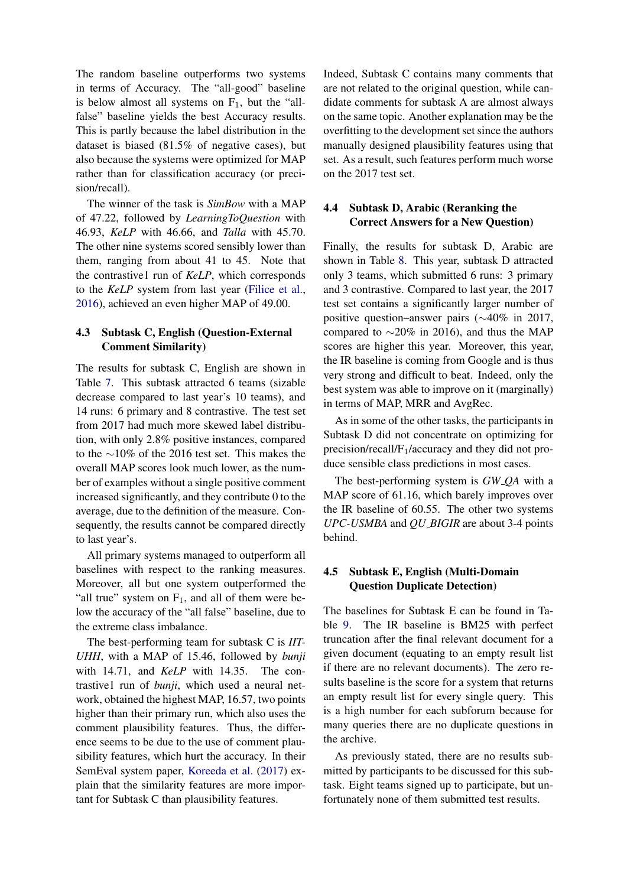The random baseline outperforms two systems in terms of Accuracy. The "all-good" baseline is below almost all systems on  $F_1$ , but the "allfalse" baseline yields the best Accuracy results. This is partly because the label distribution in the dataset is biased (81.5% of negative cases), but also because the systems were optimized for MAP rather than for classification accuracy (or precision/recall).

The winner of the task is *SimBow* with a MAP of 47.22, followed by *LearningToQuestion* with 46.93, *KeLP* with 46.66, and *Talla* with 45.70. The other nine systems scored sensibly lower than them, ranging from about 41 to 45. Note that the contrastive1 run of *KeLP*, which corresponds to the *KeLP* system from last year [\(Filice et al.,](#page-13-4) [2016\)](#page-13-4), achieved an even higher MAP of 49.00.

# 4.3 Subtask C, English (Question-External Comment Similarity)

The results for subtask C, English are shown in Table [7.](#page-20-0) This subtask attracted 6 teams (sizable decrease compared to last year's 10 teams), and 14 runs: 6 primary and 8 contrastive. The test set from 2017 had much more skewed label distribution, with only 2.8% positive instances, compared to the ∼10% of the 2016 test set. This makes the overall MAP scores look much lower, as the number of examples without a single positive comment increased significantly, and they contribute 0 to the average, due to the definition of the measure. Consequently, the results cannot be compared directly to last year's.

All primary systems managed to outperform all baselines with respect to the ranking measures. Moreover, all but one system outperformed the "all true" system on  $F_1$ , and all of them were below the accuracy of the "all false" baseline, due to the extreme class imbalance.

The best-performing team for subtask C is *IIT-UHH*, with a MAP of 15.46, followed by *bunji* with 14.71, and *KeLP* with 14.35. The contrastive1 run of *bunji*, which used a neural network, obtained the highest MAP, 16.57, two points higher than their primary run, which also uses the comment plausibility features. Thus, the difference seems to be due to the use of comment plausibility features, which hurt the accuracy. In their SemEval system paper, [Koreeda et al.](#page-14-16) [\(2017\)](#page-14-16) explain that the similarity features are more important for Subtask C than plausibility features.

Indeed, Subtask C contains many comments that are not related to the original question, while candidate comments for subtask A are almost always on the same topic. Another explanation may be the overfitting to the development set since the authors manually designed plausibility features using that set. As a result, such features perform much worse on the 2017 test set.

# 4.4 Subtask D, Arabic (Reranking the Correct Answers for a New Question)

Finally, the results for subtask D, Arabic are shown in Table [8.](#page-20-1) This year, subtask D attracted only 3 teams, which submitted 6 runs: 3 primary and 3 contrastive. Compared to last year, the 2017 test set contains a significantly larger number of positive question–answer pairs (∼40% in 2017, compared to ∼20% in 2016), and thus the MAP scores are higher this year. Moreover, this year, the IR baseline is coming from Google and is thus very strong and difficult to beat. Indeed, only the best system was able to improve on it (marginally) in terms of MAP, MRR and AvgRec.

As in some of the other tasks, the participants in Subtask D did not concentrate on optimizing for precision/recall/ $F_1$ /accuracy and they did not produce sensible class predictions in most cases.

The best-performing system is *GW QA* with a MAP score of 61.16, which barely improves over the IR baseline of 60.55. The other two systems *UPC-USMBA* and *QU BIGIR* are about 3-4 points behind.

# 4.5 Subtask E, English (Multi-Domain Question Duplicate Detection)

The baselines for Subtask E can be found in Table [9.](#page-21-0) The IR baseline is BM25 with perfect truncation after the final relevant document for a given document (equating to an empty result list if there are no relevant documents). The zero results baseline is the score for a system that returns an empty result list for every single query. This is a high number for each subforum because for many queries there are no duplicate questions in the archive.

As previously stated, there are no results submitted by participants to be discussed for this subtask. Eight teams signed up to participate, but unfortunately none of them submitted test results.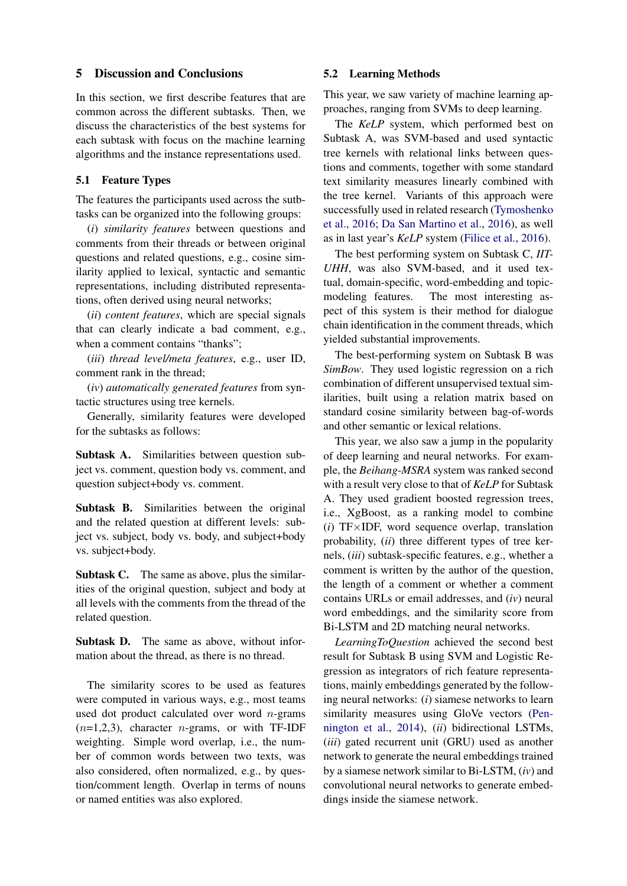## <span id="page-10-0"></span>5 Discussion and Conclusions

In this section, we first describe features that are common across the different subtasks. Then, we discuss the characteristics of the best systems for each subtask with focus on the machine learning algorithms and the instance representations used.

## 5.1 Feature Types

The features the participants used across the sutbtasks can be organized into the following groups:

(*i*) *similarity features* between questions and comments from their threads or between original questions and related questions, e.g., cosine similarity applied to lexical, syntactic and semantic representations, including distributed representations, often derived using neural networks;

(*ii*) *content features*, which are special signals that can clearly indicate a bad comment, e.g., when a comment contains "thanks";

(*iii*) *thread level/meta features*, e.g., user ID, comment rank in the thread;

(*iv*) *automatically generated features* from syntactic structures using tree kernels.

Generally, similarity features were developed for the subtasks as follows:

Subtask A. Similarities between question subject vs. comment, question body vs. comment, and question subject+body vs. comment.

Subtask B. Similarities between the original and the related question at different levels: subject vs. subject, body vs. body, and subject+body vs. subject+body.

Subtask C. The same as above, plus the similarities of the original question, subject and body at all levels with the comments from the thread of the related question.

Subtask D. The same as above, without information about the thread, as there is no thread.

The similarity scores to be used as features were computed in various ways, e.g., most teams used dot product calculated over word  $n$ -grams  $(n=1,2,3)$ , character *n*-grams, or with TF-IDF weighting. Simple word overlap, i.e., the number of common words between two texts, was also considered, often normalized, e.g., by question/comment length. Overlap in terms of nouns or named entities was also explored.

#### 5.2 Learning Methods

This year, we saw variety of machine learning approaches, ranging from SVMs to deep learning.

The *KeLP* system, which performed best on Subtask A, was SVM-based and used syntactic tree kernels with relational links between questions and comments, together with some standard text similarity measures linearly combined with the tree kernel. Variants of this approach were successfully used in related research [\(Tymoshenko](#page-16-7) [et al.,](#page-16-7) [2016;](#page-16-7) [Da San Martino et al.,](#page-12-3) [2016\)](#page-12-3), as well as in last year's *KeLP* system [\(Filice et al.,](#page-13-4) [2016\)](#page-13-4).

The best performing system on Subtask C, *IIT-UHH*, was also SVM-based, and it used textual, domain-specific, word-embedding and topicmodeling features. The most interesting aspect of this system is their method for dialogue chain identification in the comment threads, which yielded substantial improvements.

The best-performing system on Subtask B was *SimBow*. They used logistic regression on a rich combination of different unsupervised textual similarities, built using a relation matrix based on standard cosine similarity between bag-of-words and other semantic or lexical relations.

This year, we also saw a jump in the popularity of deep learning and neural networks. For example, the *Beihang-MSRA* system was ranked second with a result very close to that of *KeLP* for Subtask A. They used gradient boosted regression trees, i.e., XgBoost, as a ranking model to combine (*i*) TF×IDF, word sequence overlap, translation probability, (*ii*) three different types of tree kernels, (*iii*) subtask-specific features, e.g., whether a comment is written by the author of the question, the length of a comment or whether a comment contains URLs or email addresses, and (*iv*) neural word embeddings, and the similarity score from Bi-LSTM and 2D matching neural networks.

*LearningToQuestion* achieved the second best result for Subtask B using SVM and Logistic Regression as integrators of rich feature representations, mainly embeddings generated by the following neural networks: (*i*) siamese networks to learn similarity measures using GloVe vectors [\(Pen](#page-15-12)[nington et al.,](#page-15-12) [2014\)](#page-15-12), (*ii*) bidirectional LSTMs, (*iii*) gated recurrent unit (GRU) used as another network to generate the neural embeddings trained by a siamese network similar to Bi-LSTM, (*iv*) and convolutional neural networks to generate embeddings inside the siamese network.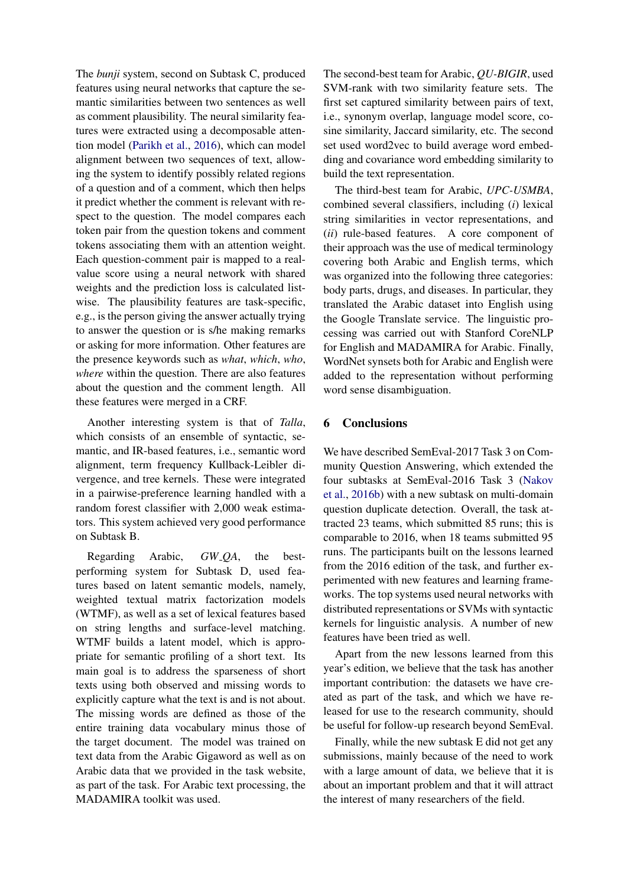The *bunji* system, second on Subtask C, produced features using neural networks that capture the semantic similarities between two sentences as well as comment plausibility. The neural similarity features were extracted using a decomposable attention model [\(Parikh et al.,](#page-15-13) [2016\)](#page-15-13), which can model alignment between two sequences of text, allowing the system to identify possibly related regions of a question and of a comment, which then helps it predict whether the comment is relevant with respect to the question. The model compares each token pair from the question tokens and comment tokens associating them with an attention weight. Each question-comment pair is mapped to a realvalue score using a neural network with shared weights and the prediction loss is calculated listwise. The plausibility features are task-specific, e.g., is the person giving the answer actually trying to answer the question or is s/he making remarks or asking for more information. Other features are the presence keywords such as *what*, *which*, *who*, *where* within the question. There are also features about the question and the comment length. All these features were merged in a CRF.

Another interesting system is that of *Talla*, which consists of an ensemble of syntactic, semantic, and IR-based features, i.e., semantic word alignment, term frequency Kullback-Leibler divergence, and tree kernels. These were integrated in a pairwise-preference learning handled with a random forest classifier with 2,000 weak estimators. This system achieved very good performance on Subtask B.

Regarding Arabic, *GW QA*, the bestperforming system for Subtask D, used features based on latent semantic models, namely, weighted textual matrix factorization models (WTMF), as well as a set of lexical features based on string lengths and surface-level matching. WTMF builds a latent model, which is appropriate for semantic profiling of a short text. Its main goal is to address the sparseness of short texts using both observed and missing words to explicitly capture what the text is and is not about. The missing words are defined as those of the entire training data vocabulary minus those of the target document. The model was trained on text data from the Arabic Gigaword as well as on Arabic data that we provided in the task website, as part of the task. For Arabic text processing, the MADAMIRA toolkit was used.

The second-best team for Arabic, *QU-BIGIR*, used SVM-rank with two similarity feature sets. The first set captured similarity between pairs of text, i.e., synonym overlap, language model score, cosine similarity, Jaccard similarity, etc. The second set used word2vec to build average word embedding and covariance word embedding similarity to build the text representation.

The third-best team for Arabic, *UPC-USMBA*, combined several classifiers, including (*i*) lexical string similarities in vector representations, and (*ii*) rule-based features. A core component of their approach was the use of medical terminology covering both Arabic and English terms, which was organized into the following three categories: body parts, drugs, and diseases. In particular, they translated the Arabic dataset into English using the Google Translate service. The linguistic processing was carried out with Stanford CoreNLP for English and MADAMIRA for Arabic. Finally, WordNet synsets both for Arabic and English were added to the representation without performing word sense disambiguation.

# <span id="page-11-0"></span>6 Conclusions

We have described SemEval-2017 Task 3 on Community Question Answering, which extended the four subtasks at SemEval-2016 Task 3 [\(Nakov](#page-15-2) [et al.,](#page-15-2) [2016b\)](#page-15-2) with a new subtask on multi-domain question duplicate detection. Overall, the task attracted 23 teams, which submitted 85 runs; this is comparable to 2016, when 18 teams submitted 95 runs. The participants built on the lessons learned from the 2016 edition of the task, and further experimented with new features and learning frameworks. The top systems used neural networks with distributed representations or SVMs with syntactic kernels for linguistic analysis. A number of new features have been tried as well.

Apart from the new lessons learned from this year's edition, we believe that the task has another important contribution: the datasets we have created as part of the task, and which we have released for use to the research community, should be useful for follow-up research beyond SemEval.

Finally, while the new subtask E did not get any submissions, mainly because of the need to work with a large amount of data, we believe that it is about an important problem and that it will attract the interest of many researchers of the field.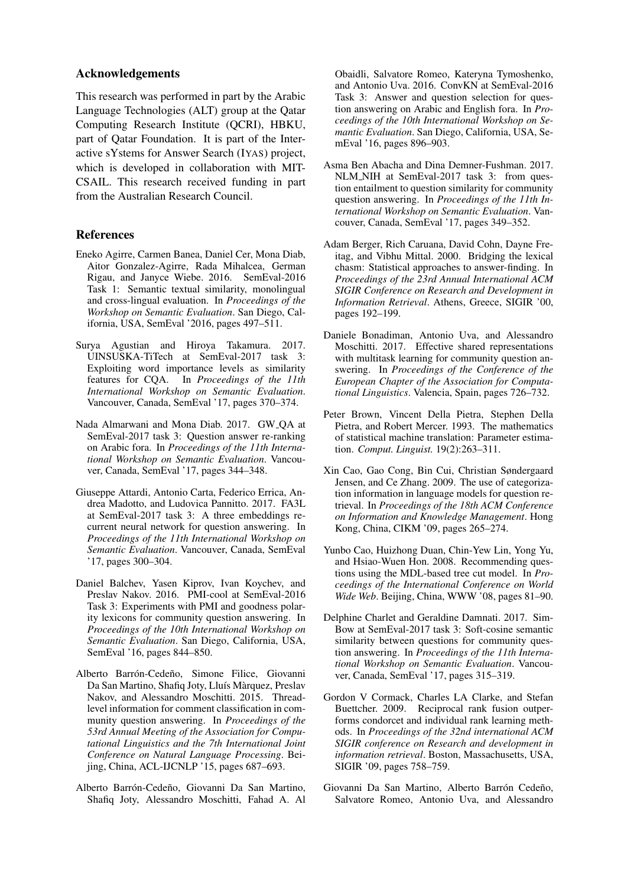### Acknowledgements

This research was performed in part by the Arabic Language Technologies (ALT) group at the Qatar Computing Research Institute (QCRI), HBKU, part of Qatar Foundation. It is part of the Interactive sYstems for Answer Search (IYAS) project, which is developed in collaboration with MIT-CSAIL. This research received funding in part from the Australian Research Council.

## References

- <span id="page-12-0"></span>Eneko Agirre, Carmen Banea, Daniel Cer, Mona Diab, Aitor Gonzalez-Agirre, Rada Mihalcea, German Rigau, and Janyce Wiebe. 2016. SemEval-2016 Task 1: Semantic textual similarity, monolingual and cross-lingual evaluation. In *Proceedings of the Workshop on Semantic Evaluation*. San Diego, California, USA, SemEval '2016, pages 497–511.
- <span id="page-12-15"></span>Surya Agustian and Hiroya Takamura. 2017. UINSUSKA-TiTech at SemEval-2017 task 3: Exploiting word importance levels as similarity features for CQA. In *Proceedings of the 11th International Workshop on Semantic Evaluation*. Vancouver, Canada, SemEval '17, pages 370–374.
- <span id="page-12-12"></span>Nada Almarwani and Mona Diab. 2017. GW QA at SemEval-2017 task 3: Question answer re-ranking on Arabic fora. In *Proceedings of the 11th International Workshop on Semantic Evaluation*. Vancouver, Canada, SemEval '17, pages 344–348.
- <span id="page-12-11"></span>Giuseppe Attardi, Antonio Carta, Federico Errica, Andrea Madotto, and Ludovica Pannitto. 2017. FA3L at SemEval-2017 task 3: A three embeddings recurrent neural network for question answering. In *Proceedings of the 11th International Workshop on Semantic Evaluation*. Vancouver, Canada, SemEval '17, pages 300–304.
- <span id="page-12-9"></span>Daniel Balchev, Yasen Kiprov, Ivan Koychev, and Preslav Nakov. 2016. PMI-cool at SemEval-2016 Task 3: Experiments with PMI and goodness polarity lexicons for community question answering. In *Proceedings of the 10th International Workshop on Semantic Evaluation*. San Diego, California, USA, SemEval '16, pages 844–850.
- <span id="page-12-7"></span>Alberto Barrón-Cedeño, Simone Filice, Giovanni Da San Martino, Shafiq Joty, Lluís Màrquez, Preslav Nakov, and Alessandro Moschitti. 2015. Threadlevel information for comment classification in community question answering. In *Proceedings of the 53rd Annual Meeting of the Association for Computational Linguistics and the 7th International Joint Conference on Natural Language Processing*. Beijing, China, ACL-IJCNLP '15, pages 687–693.
- <span id="page-12-4"></span>Alberto Barrón-Cedeño, Giovanni Da San Martino, Shafiq Joty, Alessandro Moschitti, Fahad A. Al

Obaidli, Salvatore Romeo, Kateryna Tymoshenko, and Antonio Uva. 2016. ConvKN at SemEval-2016 Task 3: Answer and question selection for question answering on Arabic and English fora. In *Proceedings of the 10th International Workshop on Semantic Evaluation*. San Diego, California, USA, SemEval '16, pages 896–903.

- <span id="page-12-13"></span>Asma Ben Abacha and Dina Demner-Fushman. 2017. NLM NIH at SemEval-2017 task 3: from question entailment to question similarity for community question answering. In *Proceedings of the 11th International Workshop on Semantic Evaluation*. Vancouver, Canada, SemEval '17, pages 349–352.
- <span id="page-12-5"></span>Adam Berger, Rich Caruana, David Cohn, Dayne Freitag, and Vibhu Mittal. 2000. Bridging the lexical chasm: Statistical approaches to answer-finding. In *Proceedings of the 23rd Annual International ACM SIGIR Conference on Research and Development in Information Retrieval*. Athens, Greece, SIGIR '00, pages 192–199.
- <span id="page-12-8"></span>Daniele Bonadiman, Antonio Uva, and Alessandro Moschitti. 2017. Effective shared representations with multitask learning for community question answering. In *Proceedings of the Conference of the European Chapter of the Association for Computational Linguistics*. Valencia, Spain, pages 726–732.
- <span id="page-12-6"></span>Peter Brown, Vincent Della Pietra, Stephen Della Pietra, and Robert Mercer. 1993. The mathematics of statistical machine translation: Parameter estimation. *Comput. Linguist.* 19(2):263–311.
- <span id="page-12-2"></span>Xin Cao, Gao Cong, Bin Cui, Christian Søndergaard Jensen, and Ce Zhang. 2009. The use of categorization information in language models for question retrieval. In *Proceedings of the 18th ACM Conference on Information and Knowledge Management*. Hong Kong, China, CIKM '09, pages 265–274.
- <span id="page-12-1"></span>Yunbo Cao, Huizhong Duan, Chin-Yew Lin, Yong Yu, and Hsiao-Wuen Hon. 2008. Recommending questions using the MDL-based tree cut model. In *Proceedings of the International Conference on World Wide Web*. Beijing, China, WWW '08, pages 81–90.
- <span id="page-12-14"></span>Delphine Charlet and Geraldine Damnati. 2017. Sim-Bow at SemEval-2017 task 3: Soft-cosine semantic similarity between questions for community question answering. In *Proceedings of the 11th International Workshop on Semantic Evaluation*. Vancouver, Canada, SemEval '17, pages 315–319.
- <span id="page-12-10"></span>Gordon V Cormack, Charles LA Clarke, and Stefan Buettcher. 2009. Reciprocal rank fusion outperforms condorcet and individual rank learning methods. In *Proceedings of the 32nd international ACM SIGIR conference on Research and development in information retrieval*. Boston, Massachusetts, USA, SIGIR '09, pages 758–759.
- <span id="page-12-3"></span>Giovanni Da San Martino, Alberto Barrón Cedeño, Salvatore Romeo, Antonio Uva, and Alessandro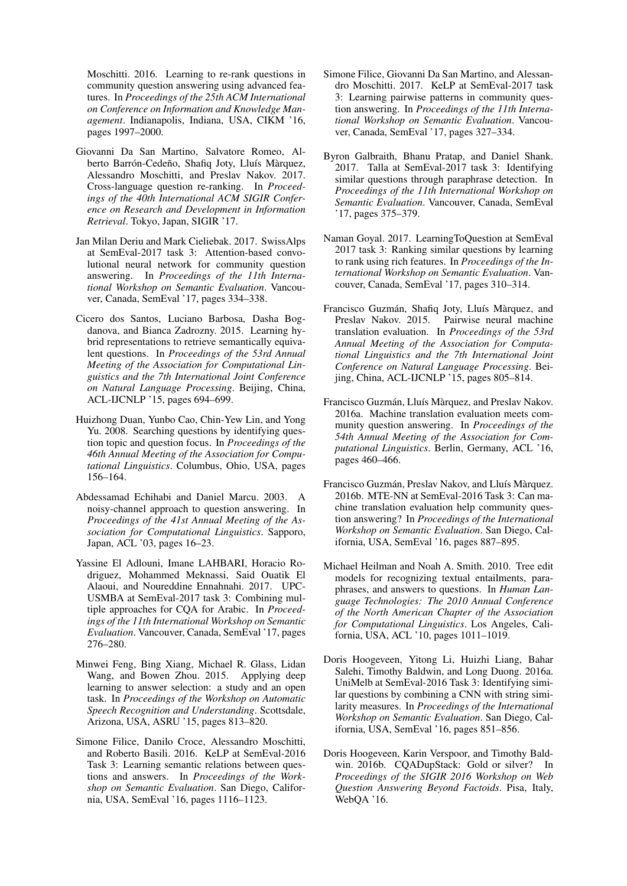Moschitti. 2016. Learning to re-rank questions in community question answering using advanced features. In *Proceedings of the 25th ACM International on Conference on Information and Knowledge Management*. Indianapolis, Indiana, USA, CIKM '16, pages 1997–2000.

- <span id="page-13-2"></span>Giovanni Da San Martino, Salvatore Romeo, Alberto Barrón-Cedeño, Shafiq Joty, Lluís Màrquez, Alessandro Moschitti, and Preslav Nakov. 2017. Cross-language question re-ranking. In *Proceedings of the 40th International ACM SIGIR Conference on Research and Development in Information Retrieval*. Tokyo, Japan, SIGIR '17.
- <span id="page-13-14"></span>Jan Milan Deriu and Mark Cieliebak. 2017. SwissAlps at SemEval-2017 task 3: Attention-based convolutional neural network for community question answering. In *Proceedings of the 11th International Workshop on Semantic Evaluation*. Vancouver, Canada, SemEval '17, pages 334–338.
- <span id="page-13-1"></span>Cicero dos Santos, Luciano Barbosa, Dasha Bogdanova, and Bianca Zadrozny. 2015. Learning hybrid representations to retrieve semantically equivalent questions. In *Proceedings of the 53rd Annual Meeting of the Association for Computational Linguistics and the 7th International Joint Conference on Natural Language Processing*. Beijing, China, ACL-IJCNLP '15, pages 694–699.
- <span id="page-13-0"></span>Huizhong Duan, Yunbo Cao, Chin-Yew Lin, and Yong Yu. 2008. Searching questions by identifying question topic and question focus. In *Proceedings of the 46th Annual Meeting of the Association for Computational Linguistics*. Columbus, Ohio, USA, pages 156–164.
- <span id="page-13-6"></span>Abdessamad Echihabi and Daniel Marcu. 2003. A noisy-channel approach to question answering. In *Proceedings of the 41st Annual Meeting of the Association for Computational Linguistics*. Sapporo, Japan, ACL '03, pages 16–23.
- <span id="page-13-16"></span>Yassine El Adlouni, Imane LAHBARI, Horacio Rodriguez, Mohammed Meknassi, Said Ouatik El Alaoui, and Noureddine Ennahnahi. 2017. UPC-USMBA at SemEval-2017 task 3: Combining multiple approaches for CQA for Arabic. In *Proceedings of the 11th International Workshop on Semantic Evaluation*. Vancouver, Canada, SemEval '17, pages 276–280.
- <span id="page-13-5"></span>Minwei Feng, Bing Xiang, Michael R. Glass, Lidan Wang, and Bowen Zhou. 2015. Applying deep learning to answer selection: a study and an open task. In *Proceedings of the Workshop on Automatic Speech Recognition and Understanding*. Scottsdale, Arizona, USA, ASRU '15, pages 813–820.
- <span id="page-13-4"></span>Simone Filice, Danilo Croce, Alessandro Moschitti, and Roberto Basili. 2016. KeLP at SemEval-2016 Task 3: Learning semantic relations between questions and answers. In *Proceedings of the Workshop on Semantic Evaluation*. San Diego, California, USA, SemEval '16, pages 1116–1123.
- <span id="page-13-12"></span>Simone Filice, Giovanni Da San Martino, and Alessandro Moschitti. 2017. KeLP at SemEval-2017 task 3: Learning pairwise patterns in community question answering. In *Proceedings of the 11th International Workshop on Semantic Evaluation*. Vancouver, Canada, SemEval '17, pages 327–334.
- <span id="page-13-15"></span>Byron Galbraith, Bhanu Pratap, and Daniel Shank. 2017. Talla at SemEval-2017 task 3: Identifying similar questions through paraphrase detection. In *Proceedings of the 11th International Workshop on Semantic Evaluation*. Vancouver, Canada, SemEval '17, pages 375–379.
- <span id="page-13-13"></span>Naman Goyal. 2017. LearningToQuestion at SemEval 2017 task 3: Ranking similar questions by learning to rank using rich features. In *Proceedings of the International Workshop on Semantic Evaluation*. Vancouver, Canada, SemEval '17, pages 310–314.
- <span id="page-13-10"></span>Francisco Guzmán, Shafiq Joty, Lluís Màrquez, and Preslav Nakov. 2015. Pairwise neural machine translation evaluation. In *Proceedings of the 53rd Annual Meeting of the Association for Computational Linguistics and the 7th International Joint Conference on Natural Language Processing*. Beijing, China, ACL-IJCNLP '15, pages 805–814.
- <span id="page-13-8"></span>Francisco Guzmán, Lluís Màrquez, and Preslav Nakov. 2016a. Machine translation evaluation meets community question answering. In *Proceedings of the 54th Annual Meeting of the Association for Computational Linguistics*. Berlin, Germany, ACL '16, pages 460–466.
- <span id="page-13-9"></span>Francisco Guzmán, Preslav Nakov, and Lluís Màrquez. 2016b. MTE-NN at SemEval-2016 Task 3: Can machine translation evaluation help community question answering? In *Proceedings of the International Workshop on Semantic Evaluation*. San Diego, California, USA, SemEval '16, pages 887–895.
- <span id="page-13-3"></span>Michael Heilman and Noah A. Smith. 2010. Tree edit models for recognizing textual entailments, paraphrases, and answers to questions. In *Human Language Technologies: The 2010 Annual Conference of the North American Chapter of the Association for Computational Linguistics*. Los Angeles, California, USA, ACL '10, pages 1011–1019.
- <span id="page-13-7"></span>Doris Hoogeveen, Yitong Li, Huizhi Liang, Bahar Salehi, Timothy Baldwin, and Long Duong. 2016a. UniMelb at SemEval-2016 Task 3: Identifying similar questions by combining a CNN with string similarity measures. In *Proceedings of the International Workshop on Semantic Evaluation*. San Diego, California, USA, SemEval '16, pages 851–856.
- <span id="page-13-11"></span>Doris Hoogeveen, Karin Verspoor, and Timothy Baldwin. 2016b. CQADupStack: Gold or silver? In *Proceedings of the SIGIR 2016 Workshop on Web Question Answering Beyond Factoids*. Pisa, Italy, WebQA '16.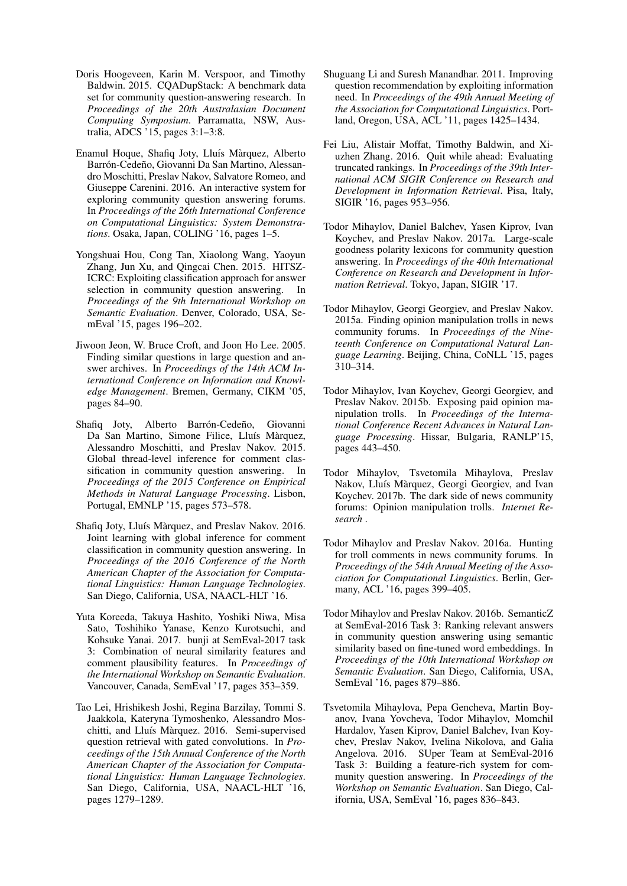- <span id="page-14-1"></span>Doris Hoogeveen, Karin M. Verspoor, and Timothy Baldwin. 2015. CQADupStack: A benchmark data set for community question-answering research. In *Proceedings of the 20th Australasian Document Computing Symposium*. Parramatta, NSW, Australia, ADCS '15, pages 3:1–3:8.
- <span id="page-14-0"></span>Enamul Hoque, Shafiq Joty, Lluís Màrquez, Alberto Barrón-Cedeño, Giovanni Da San Martino, Alessandro Moschitti, Preslav Nakov, Salvatore Romeo, and Giuseppe Carenini. 2016. An interactive system for exploring community question answering forums. In *Proceedings of the 26th International Conference on Computational Linguistics: System Demonstrations*. Osaka, Japan, COLING '16, pages 1–5.
- <span id="page-14-5"></span>Yongshuai Hou, Cong Tan, Xiaolong Wang, Yaoyun Zhang, Jun Xu, and Qingcai Chen. 2015. HITSZ-ICRC: Exploiting classification approach for answer selection in community question answering. In *Proceedings of the 9th International Workshop on Semantic Evaluation*. Denver, Colorado, USA, SemEval '15, pages 196–202.
- <span id="page-14-3"></span>Jiwoon Jeon, W. Bruce Croft, and Joon Ho Lee. 2005. Finding similar questions in large question and answer archives. In *Proceedings of the 14th ACM International Conference on Information and Knowledge Management*. Bremen, Germany, CIKM '05, pages 84–90.
- <span id="page-14-6"></span>Shafiq Joty, Alberto Barrón-Cedeño, Giovanni Da San Martino, Simone Filice, Lluís Màrquez, Alessandro Moschitti, and Preslav Nakov. 2015. Global thread-level inference for comment classification in community question answering. In *Proceedings of the 2015 Conference on Empirical Methods in Natural Language Processing*. Lisbon, Portugal, EMNLP '15, pages 573–578.
- <span id="page-14-7"></span>Shafiq Joty, Lluís Màrquez, and Preslav Nakov. 2016. Joint learning with global inference for comment classification in community question answering. In *Proceedings of the 2016 Conference of the North American Chapter of the Association for Computational Linguistics: Human Language Technologies*. San Diego, California, USA, NAACL-HLT '16.
- <span id="page-14-16"></span>Yuta Koreeda, Takuya Hashito, Yoshiki Niwa, Misa Sato, Toshihiko Yanase, Kenzo Kurotsuchi, and Kohsuke Yanai. 2017. bunji at SemEval-2017 task 3: Combination of neural similarity features and comment plausibility features. In *Proceedings of the International Workshop on Semantic Evaluation*. Vancouver, Canada, SemEval '17, pages 353–359.
- <span id="page-14-2"></span>Tao Lei, Hrishikesh Joshi, Regina Barzilay, Tommi S. Jaakkola, Kateryna Tymoshenko, Alessandro Moschitti, and Lluís Màrquez. 2016. Semi-supervised question retrieval with gated convolutions. In *Proceedings of the 15th Annual Conference of the North American Chapter of the Association for Computational Linguistics: Human Language Technologies*. San Diego, California, USA, NAACL-HLT '16, pages 1279–1289.
- <span id="page-14-4"></span>Shuguang Li and Suresh Manandhar. 2011. Improving question recommendation by exploiting information need. In *Proceedings of the 49th Annual Meeting of the Association for Computational Linguistics*. Portland, Oregon, USA, ACL '11, pages 1425–1434.
- <span id="page-14-15"></span>Fei Liu, Alistair Moffat, Timothy Baldwin, and Xiuzhen Zhang. 2016. Quit while ahead: Evaluating truncated rankings. In *Proceedings of the 39th International ACM SIGIR Conference on Research and Development in Information Retrieval*. Pisa, Italy, SIGIR '16, pages 953–956.
- <span id="page-14-10"></span>Todor Mihaylov, Daniel Balchev, Yasen Kiprov, Ivan Koychev, and Preslav Nakov. 2017a. Large-scale goodness polarity lexicons for community question answering. In *Proceedings of the 40th International Conference on Research and Development in Information Retrieval*. Tokyo, Japan, SIGIR '17.
- <span id="page-14-11"></span>Todor Mihaylov, Georgi Georgiev, and Preslav Nakov. 2015a. Finding opinion manipulation trolls in news community forums. In *Proceedings of the Nineteenth Conference on Computational Natural Language Learning*. Beijing, China, CoNLL '15, pages 310–314.
- <span id="page-14-12"></span>Todor Mihaylov, Ivan Koychev, Georgi Georgiev, and Preslav Nakov. 2015b. Exposing paid opinion manipulation trolls. In *Proceedings of the International Conference Recent Advances in Natural Language Processing*. Hissar, Bulgaria, RANLP'15, pages 443–450.
- <span id="page-14-14"></span>Todor Mihaylov, Tsvetomila Mihaylova, Preslav Nakov, Lluís Màrquez, Georgi Georgiev, and Ivan Koychev. 2017b. The dark side of news community forums: Opinion manipulation trolls. *Internet Research* .
- <span id="page-14-13"></span>Todor Mihaylov and Preslav Nakov. 2016a. Hunting for troll comments in news community forums. In *Proceedings of the 54th Annual Meeting of the Association for Computational Linguistics*. Berlin, Germany, ACL '16, pages 399–405.
- <span id="page-14-9"></span>Todor Mihaylov and Preslav Nakov. 2016b. SemanticZ at SemEval-2016 Task 3: Ranking relevant answers in community question answering using semantic similarity based on fine-tuned word embeddings. In *Proceedings of the 10th International Workshop on Semantic Evaluation*. San Diego, California, USA, SemEval '16, pages 879–886.
- <span id="page-14-8"></span>Tsvetomila Mihaylova, Pepa Gencheva, Martin Boyanov, Ivana Yovcheva, Todor Mihaylov, Momchil Hardalov, Yasen Kiprov, Daniel Balchev, Ivan Koychev, Preslav Nakov, Ivelina Nikolova, and Galia Angelova. 2016. SUper Team at SemEval-2016 Task 3: Building a feature-rich system for community question answering. In *Proceedings of the Workshop on Semantic Evaluation*. San Diego, California, USA, SemEval '16, pages 836–843.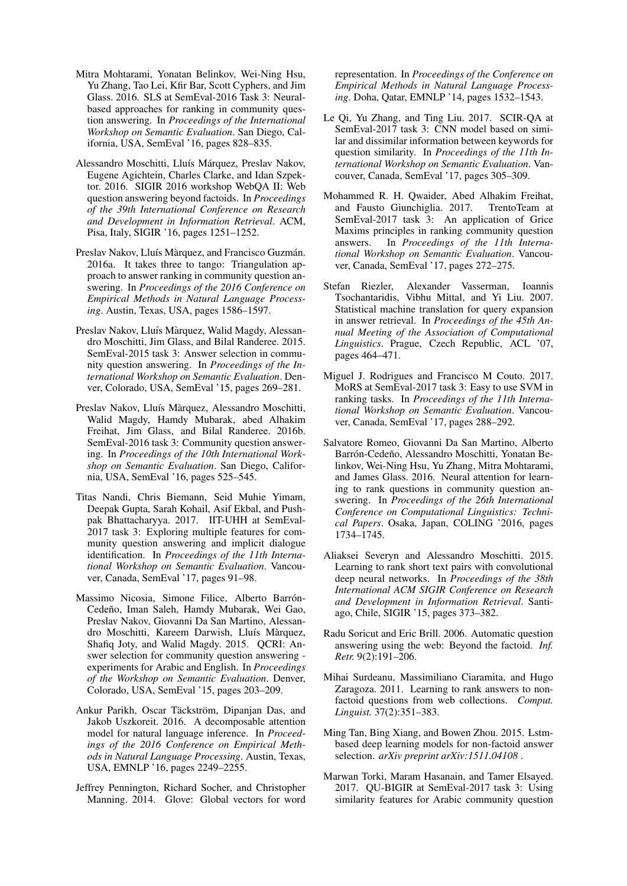- <span id="page-15-6"></span>Mitra Mohtarami, Yonatan Belinkov, Wei-Ning Hsu, Yu Zhang, Tao Lei, Kfir Bar, Scott Cyphers, and Jim Glass. 2016. SLS at SemEval-2016 Task 3: Neuralbased approaches for ranking in community question answering. In *Proceedings of the International Workshop on Semantic Evaluation*. San Diego, California, USA, SemEval '16, pages 828–835.
- <span id="page-15-0"></span>Alessandro Moschitti, Lluís Márquez, Preslav Nakov, Eugene Agichtein, Charles Clarke, and Idan Szpektor. 2016. SIGIR 2016 workshop WebQA II: Web question answering beyond factoids. In *Proceedings of the 39th International Conference on Research and Development in Information Retrieval*. ACM, Pisa, Italy, SIGIR '16, pages 1251–1252.
- <span id="page-15-11"></span>Preslav Nakov, Lluís Màrquez, and Francisco Guzmán. 2016a. It takes three to tango: Triangulation approach to answer ranking in community question answering. In *Proceedings of the 2016 Conference on Empirical Methods in Natural Language Processing*. Austin, Texas, USA, pages 1586–1597.
- <span id="page-15-1"></span>Preslav Nakov, Lluís Màrquez, Walid Magdy, Alessandro Moschitti, Jim Glass, and Bilal Randeree. 2015. SemEval-2015 task 3: Answer selection in community question answering. In *Proceedings of the International Workshop on Semantic Evaluation*. Denver, Colorado, USA, SemEval '15, pages 269–281.
- <span id="page-15-2"></span>Preslav Nakov, Lluís Màrquez, Alessandro Moschitti, Walid Magdy, Hamdy Mubarak, abed Alhakim Freihat, Jim Glass, and Bilal Randeree. 2016b. SemEval-2016 task 3: Community question answering. In *Proceedings of the 10th International Workshop on Semantic Evaluation*. San Diego, California, USA, SemEval '16, pages 525–545.
- <span id="page-15-14"></span>Titas Nandi, Chris Biemann, Seid Muhie Yimam, Deepak Gupta, Sarah Kohail, Asif Ekbal, and Pushpak Bhattacharyya. 2017. IIT-UHH at SemEval-2017 task 3: Exploring multiple features for community question answering and implicit dialogue identification. In *Proceedings of the 11th International Workshop on Semantic Evaluation*. Vancouver, Canada, SemEval '17, pages 91–98.
- <span id="page-15-10"></span>Massimo Nicosia, Simone Filice, Alberto Barrón-Cedeño, Iman Saleh, Hamdy Mubarak, Wei Gao, Preslav Nakov, Giovanni Da San Martino, Alessandro Moschitti, Kareem Darwish, Lluís Màrquez, Shafiq Joty, and Walid Magdy. 2015. QCRI: Answer selection for community question answering experiments for Arabic and English. In *Proceedings of the Workshop on Semantic Evaluation*. Denver, Colorado, USA, SemEval '15, pages 203–209.
- <span id="page-15-13"></span>Ankur Parikh, Oscar Täckström, Dipanjan Das, and Jakob Uszkoreit. 2016. A decomposable attention model for natural language inference. In *Proceedings of the 2016 Conference on Empirical Methods in Natural Language Processing*. Austin, Texas, USA, EMNLP '16, pages 2249–2255.
- <span id="page-15-12"></span>Jeffrey Pennington, Richard Socher, and Christopher Manning. 2014. Glove: Global vectors for word

representation. In *Proceedings of the Conference on Empirical Methods in Natural Language Processing*. Doha, Qatar, EMNLP '14, pages 1532–1543.

- <span id="page-15-17"></span>Le Qi, Yu Zhang, and Ting Liu. 2017. SCIR-QA at SemEval-2017 task 3: CNN model based on similar and dissimilar information between keywords for question similarity. In *Proceedings of the 11th International Workshop on Semantic Evaluation*. Vancouver, Canada, SemEval '17, pages 305–309.
- <span id="page-15-18"></span>Mohammed R. H. Qwaider, Abed Alhakim Freihat, and Fausto Giunchiglia. 2017. TrentoTeam at SemEval-2017 task 3: An application of Grice Maxims principles in ranking community question answers. In *Proceedings of the 11th International Workshop on Semantic Evaluation*. Vancouver, Canada, SemEval '17, pages 272–275.
- <span id="page-15-8"></span>Stefan Riezler, Alexander Vasserman, Ioannis Tsochantaridis, Vibhu Mittal, and Yi Liu. 2007. Statistical machine translation for query expansion in answer retrieval. In *Proceedings of the 45th Annual Meeting of the Association of Computational Linguistics*. Prague, Czech Republic, ACL '07, pages 464–471.
- <span id="page-15-15"></span>Miguel J. Rodrigues and Francisco M Couto. 2017. MoRS at SemEval-2017 task 3: Easy to use SVM in ranking tasks. In *Proceedings of the 11th International Workshop on Semantic Evaluation*. Vancouver, Canada, SemEval '17, pages 288–292.
- <span id="page-15-3"></span>Salvatore Romeo, Giovanni Da San Martino, Alberto Barrón-Cedeño, Alessandro Moschitti, Yonatan Belinkov, Wei-Ning Hsu, Yu Zhang, Mitra Mohtarami, and James Glass. 2016. Neural attention for learning to rank questions in community question answering. In *Proceedings of the 26th International Conference on Computational Linguistics: Technical Papers*. Osaka, Japan, COLING '2016, pages 1734–1745.
- <span id="page-15-4"></span>Aliaksei Severyn and Alessandro Moschitti. 2015. Learning to rank short text pairs with convolutional deep neural networks. In *Proceedings of the 38th International ACM SIGIR Conference on Research and Development in Information Retrieval*. Santiago, Chile, SIGIR '15, pages 373–382.
- <span id="page-15-7"></span>Radu Soricut and Eric Brill. 2006. Automatic question answering using the web: Beyond the factoid. *Inf. Retr.* 9(2):191–206.
- <span id="page-15-9"></span>Mihai Surdeanu, Massimiliano Ciaramita, and Hugo Zaragoza. 2011. Learning to rank answers to nonfactoid questions from web collections. *Comput. Linguist.* 37(2):351–383.
- <span id="page-15-5"></span>Ming Tan, Bing Xiang, and Bowen Zhou. 2015. Lstmbased deep learning models for non-factoid answer selection. *arXiv preprint arXiv:1511.04108* .
- <span id="page-15-16"></span>Marwan Torki, Maram Hasanain, and Tamer Elsayed. 2017. QU-BIGIR at SemEval-2017 task 3: Using similarity features for Arabic community question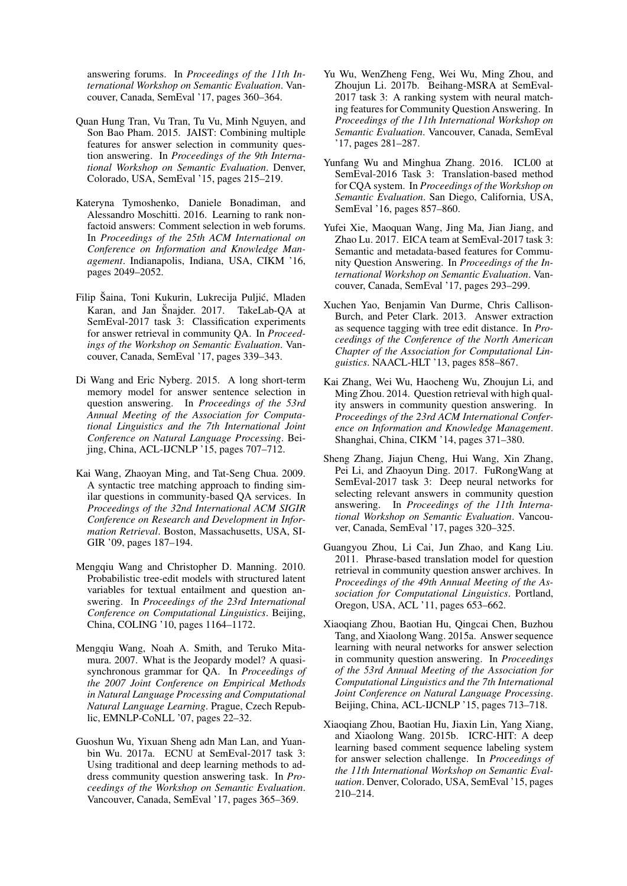answering forums. In *Proceedings of the 11th International Workshop on Semantic Evaluation*. Vancouver, Canada, SemEval '17, pages 360–364.

- <span id="page-16-8"></span>Quan Hung Tran, Vu Tran, Tu Vu, Minh Nguyen, and Son Bao Pham. 2015. JAIST: Combining multiple features for answer selection in community question answering. In *Proceedings of the 9th International Workshop on Semantic Evaluation*. Denver, Colorado, USA, SemEval '15, pages 215–219.
- <span id="page-16-7"></span>Kateryna Tymoshenko, Daniele Bonadiman, and Alessandro Moschitti. 2016. Learning to rank nonfactoid answers: Comment selection in web forums. In *Proceedings of the 25th ACM International on Conference on Information and Knowledge Management*. Indianapolis, Indiana, USA, CIKM '16, pages 2049–2052.
- <span id="page-16-16"></span>Filip Šaina, Toni Kukurin, Lukrecija Puljić, Mladen Karan, and Jan Šnajder. 2017. TakeLab-QA at SemEval-2017 task 3: Classification experiments for answer retrieval in community QA. In *Proceedings of the Workshop on Semantic Evaluation*. Vancouver, Canada, SemEval '17, pages 339–343.
- <span id="page-16-6"></span>Di Wang and Eric Nyberg. 2015. A long short-term memory model for answer sentence selection in question answering. In *Proceedings of the 53rd Annual Meeting of the Association for Computational Linguistics and the 7th International Joint Conference on Natural Language Processing*. Beijing, China, ACL-IJCNLP '15, pages 707–712.
- <span id="page-16-1"></span>Kai Wang, Zhaoyan Ming, and Tat-Seng Chua. 2009. A syntactic tree matching approach to finding similar questions in community-based QA services. In *Proceedings of the 32nd International ACM SIGIR Conference on Research and Development in Information Retrieval*. Boston, Massachusetts, USA, SI-GIR '09, pages 187–194.
- <span id="page-16-4"></span>Mengqiu Wang and Christopher D. Manning. 2010. Probabilistic tree-edit models with structured latent variables for textual entailment and question answering. In *Proceedings of the 23rd International Conference on Computational Linguistics*. Beijing, China, COLING '10, pages 1164–1172.
- <span id="page-16-3"></span>Mengqiu Wang, Noah A. Smith, and Teruko Mitamura. 2007. What is the Jeopardy model? A quasisynchronous grammar for QA. In *Proceedings of the 2007 Joint Conference on Empirical Methods in Natural Language Processing and Computational Natural Language Learning*. Prague, Czech Republic, EMNLP-CoNLL '07, pages 22–32.
- <span id="page-16-13"></span>Guoshun Wu, Yixuan Sheng adn Man Lan, and Yuanbin Wu. 2017a. ECNU at SemEval-2017 task 3: Using traditional and deep learning methods to address community question answering task. In *Proceedings of the Workshop on Semantic Evaluation*. Vancouver, Canada, SemEval '17, pages 365–369.
- <span id="page-16-12"></span>Yu Wu, WenZheng Feng, Wei Wu, Ming Zhou, and Zhoujun Li. 2017b. Beihang-MSRA at SemEval-2017 task 3: A ranking system with neural matching features for Community Question Answering. In *Proceedings of the 11th International Workshop on Semantic Evaluation*. Vancouver, Canada, SemEval '17, pages 281–287.
- <span id="page-16-9"></span>Yunfang Wu and Minghua Zhang. 2016. ICL00 at SemEval-2016 Task 3: Translation-based method for CQA system. In *Proceedings of the Workshop on Semantic Evaluation*. San Diego, California, USA, SemEval '16, pages 857–860.
- <span id="page-16-14"></span>Yufei Xie, Maoquan Wang, Jing Ma, Jian Jiang, and Zhao Lu. 2017. EICA team at SemEval-2017 task 3: Semantic and metadata-based features for Community Question Answering. In *Proceedings of the International Workshop on Semantic Evaluation*. Vancouver, Canada, SemEval '17, pages 293–299.
- <span id="page-16-5"></span>Xuchen Yao, Benjamin Van Durme, Chris Callison-Burch, and Peter Clark. 2013. Answer extraction as sequence tagging with tree edit distance. In *Proceedings of the Conference of the North American Chapter of the Association for Computational Linguistics*. NAACL-HLT '13, pages 858–867.
- <span id="page-16-0"></span>Kai Zhang, Wei Wu, Haocheng Wu, Zhoujun Li, and Ming Zhou. 2014. Question retrieval with high quality answers in community question answering. In *Proceedings of the 23rd ACM International Conference on Information and Knowledge Management*. Shanghai, China, CIKM '14, pages 371–380.
- <span id="page-16-15"></span>Sheng Zhang, Jiajun Cheng, Hui Wang, Xin Zhang, Pei Li, and Zhaoyun Ding. 2017. FuRongWang at SemEval-2017 task 3: Deep neural networks for selecting relevant answers in community question answering. In *Proceedings of the 11th International Workshop on Semantic Evaluation*. Vancouver, Canada, SemEval '17, pages 320–325.
- <span id="page-16-2"></span>Guangyou Zhou, Li Cai, Jun Zhao, and Kang Liu. 2011. Phrase-based translation model for question retrieval in community question answer archives. In *Proceedings of the 49th Annual Meeting of the Association for Computational Linguistics*. Portland, Oregon, USA, ACL '11, pages 653–662.
- <span id="page-16-11"></span>Xiaoqiang Zhou, Baotian Hu, Qingcai Chen, Buzhou Tang, and Xiaolong Wang. 2015a. Answer sequence learning with neural networks for answer selection in community question answering. In *Proceedings of the 53rd Annual Meeting of the Association for Computational Linguistics and the 7th International Joint Conference on Natural Language Processing*. Beijing, China, ACL-IJCNLP '15, pages 713–718.
- <span id="page-16-10"></span>Xiaoqiang Zhou, Baotian Hu, Jiaxin Lin, Yang Xiang, and Xiaolong Wang. 2015b. ICRC-HIT: A deep learning based comment sequence labeling system for answer selection challenge. In *Proceedings of the 11th International Workshop on Semantic Evaluation*. Denver, Colorado, USA, SemEval '15, pages 210–214.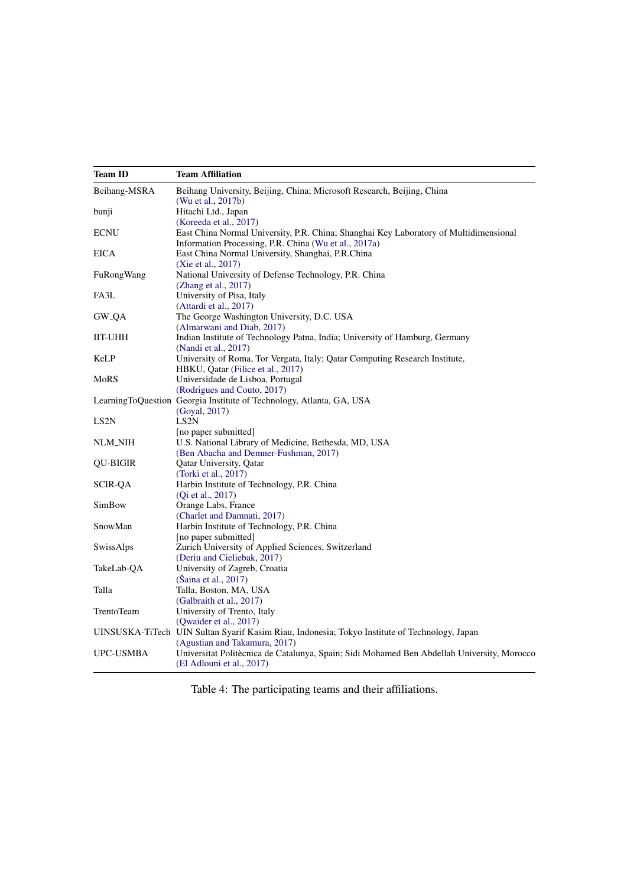<span id="page-17-0"></span>

| <b>Team ID</b>    | <b>Team Affiliation</b>                                                                       |
|-------------------|-----------------------------------------------------------------------------------------------|
| Beihang-MSRA      | Beihang University, Beijing, China; Microsoft Research, Beijing, China                        |
|                   | (Wu et al., 2017b)                                                                            |
| bunji             | Hitachi Ltd., Japan<br>(Koreeda et al., 2017)                                                 |
| <b>ECNU</b>       | East China Normal University, P.R. China; Shanghai Key Laboratory of Multidimensional         |
|                   | Information Processing, P.R. China (Wu et al., 2017a)                                         |
| <b>EICA</b>       | East China Normal University, Shanghai, P.R.China                                             |
|                   | (Xie et al., 2017)                                                                            |
| FuRongWang        | National University of Defense Technology, P.R. China                                         |
| FA3L              | (Zhang et al., 2017)<br>University of Pisa, Italy                                             |
|                   |                                                                                               |
| GW_QA             | (Attardi et al., 2017)                                                                        |
|                   | The George Washington University, D.C. USA                                                    |
|                   | (Almarwani and Diab, 2017)                                                                    |
| IIT-UHH           | Indian Institute of Technology Patna, India; University of Hamburg, Germany                   |
|                   | (Nandi et al., 2017)                                                                          |
| KeLP              | University of Roma, Tor Vergata, Italy; Qatar Computing Research Institute,                   |
|                   | HBKU, Qatar (Filice et al., 2017)                                                             |
| MoRS              | Universidade de Lisboa, Portugal<br>(Rodrigues and Couto, 2017)                               |
|                   |                                                                                               |
|                   | LearningToQuestion Georgia Institute of Technology, Atlanta, GA, USA                          |
| LS <sub>2</sub> N | (Goyal, 2017)<br>LS <sub>2</sub> N                                                            |
|                   |                                                                                               |
| NLM_NIH           | [no paper submitted]<br>U.S. National Library of Medicine, Bethesda, MD, USA                  |
|                   | (Ben Abacha and Demner-Fushman, 2017)                                                         |
| QU-BIGIR          | Qatar University, Qatar                                                                       |
|                   | (Torki et al., 2017)                                                                          |
| <b>SCIR-QA</b>    | Harbin Institute of Technology, P.R. China                                                    |
|                   | (Qi et al., 2017)                                                                             |
| SimBow            | Orange Labs, France                                                                           |
|                   | (Charlet and Damnati, 2017)                                                                   |
| SnowMan           | Harbin Institute of Technology, P.R. China                                                    |
|                   | [no paper submitted]                                                                          |
| SwissAlps         | Zurich University of Applied Sciences, Switzerland                                            |
|                   | (Deriu and Cieliebak, 2017)                                                                   |
| TakeLab-QA        | University of Zagreb, Croatia                                                                 |
|                   | (Šaina et al., 2017)                                                                          |
| Talla             | Talla, Boston, MA, USA                                                                        |
|                   | (Galbraith et al., 2017)                                                                      |
| TrentoTeam        | University of Trento, Italy                                                                   |
|                   | (Qwaider et al., 2017)                                                                        |
|                   | UINSUSKA-TiTech UIN Sultan Syarif Kasim Riau, Indonesia; Tokyo Institute of Technology, Japan |
|                   | (Agustian and Takamura, 2017)                                                                 |
| UPC-USMBA         | Universitat Politècnica de Catalunya, Spain; Sidi Mohamed Ben Abdellah University, Morocco    |
|                   | (El Adlouni et al., 2017)                                                                     |

Table 4: The participating teams and their affiliations.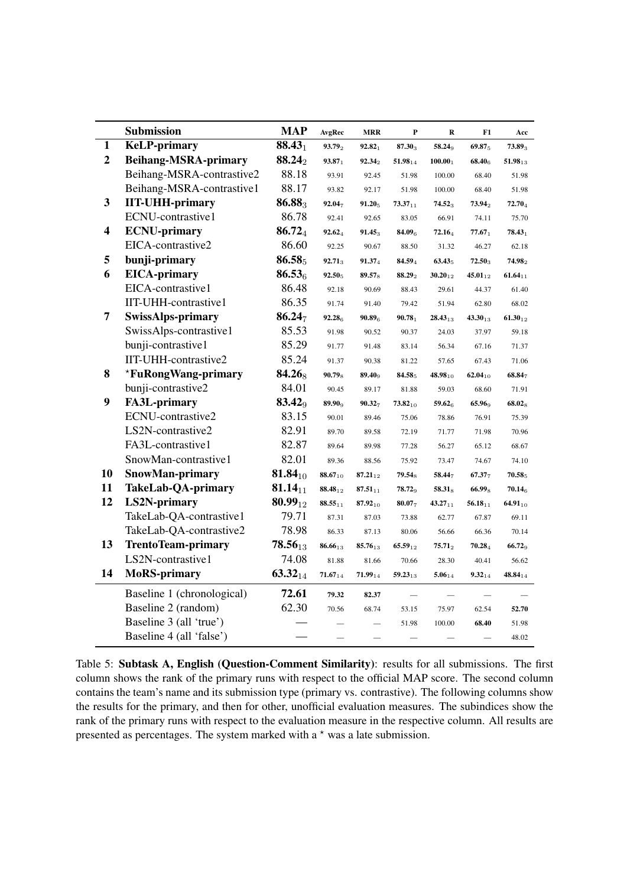<span id="page-18-0"></span>

|                | Submission                  | <b>MAP</b>         | AvgRec             | <b>MRR</b>         | $\mathbf P$  | $\bf R$      | F1           | Acc                |
|----------------|-----------------------------|--------------------|--------------------|--------------------|--------------|--------------|--------------|--------------------|
| 1              | <b>KeLP-primary</b>         | $88.43_1$          | 93.792             | $92.82_1$          | 87.303       | 58.249       | 69.875       | $73.89_3$          |
| $\overline{2}$ | <b>Beihang-MSRA-primary</b> | 88.242             | $93.87_1$          | $92.34_2$          | $51.98_{14}$ | $100.00_1$   | $68.40_{6}$  | $51.98_{13}$       |
|                | Beihang-MSRA-contrastive2   | 88.18              | 93.91              | 92.45              | 51.98        | 100.00       | 68.40        | 51.98              |
|                | Beihang-MSRA-contrastive1   | 88.17              | 93.82              | 92.17              | 51.98        | 100.00       | 68.40        | 51.98              |
| 3              | <b>IIT-UHH-primary</b>      | 86.883             | $92.04_7$          | $91.20_5$          | $73.37_{11}$ | $74.52_3$    | $73.94_2$    | $72.70_4$          |
|                | ECNU-contrastive1           | 86.78              | 92.41              | 92.65              | 83.05        | 66.91        | 74.11        | 75.70              |
| 4              | <b>ECNU-primary</b>         | 86.724             | 92.624             | $91.45_3$          | 84.096       | 72.164       | $77.67_1$    | $78.43_1$          |
|                | EICA-contrastive2           | 86.60              | 92.25              | 90.67              | 88.50        | 31.32        | 46.27        | 62.18              |
| 5              | bunji-primary               | 86.585             | $92.71_3$          | 91.374             | 84.594       | $63.43_5$    | $72.50_3$    | $74.98_2$          |
| 6              | <b>EICA-primary</b>         | $86.53_{6}$        | 92.505             | 89.57 <sub>8</sub> | 88.292       | $30.20_{12}$ | $45.01_{12}$ | $61.64_{11}$       |
|                | EICA-contrastive1           | 86.48              | 92.18              | 90.69              | 88.43        | 29.61        | 44.37        | 61.40              |
|                | IIT-UHH-contrastive1        | 86.35              | 91.74              | 91.40              | 79.42        | 51.94        | 62.80        | 68.02              |
| 7              | <b>SwissAlps-primary</b>    | 86.247             | 92.28 <sub>6</sub> | 90.89 <sub>6</sub> | $90.78_1$    | $28.43_{13}$ | $43.30_{13}$ | $61.30_{12}$       |
|                | SwissAlps-contrastive1      | 85.53              | 91.98              | 90.52              | 90.37        | 24.03        | 37.97        | 59.18              |
|                | bunji-contrastive1          | 85.29              | 91.77              | 91.48              | 83.14        | 56.34        | 67.16        | 71.37              |
|                | IIT-UHH-contrastive2        | 85.24              | 91.37              | 90.38              | 81.22        | 57.65        | 67.43        | 71.06              |
| 8              | *FuRongWang-primary         | 84.268             | $90.79_8$          | $89.40_9$          | 84.585       | $48.98_{10}$ | $62.04_{10}$ | 68.847             |
|                | bunji-contrastive2          | 84.01              | 90.45              | 89.17              | 81.88        | 59.03        | 68.60        | 71.91              |
| 9              | <b>FA3L-primary</b>         | 83.42 <sub>9</sub> | 89.90 <sub>9</sub> | $90.32_7$          | $73.82_{10}$ | $59.62_{6}$  | 65.969       | 68.02 <sub>8</sub> |
|                | ECNU-contrastive2           | 83.15              | 90.01              | 89.46              | 75.06        | 78.86        | 76.91        | 75.39              |
|                | LS2N-contrastive2           | 82.91              | 89.70              | 89.58              | 72.19        | 71.77        | 71.98        | 70.96              |
|                | FA3L-contrastive1           | 82.87              | 89.64              | 89.98              | 77.28        | 56.27        | 65.12        | 68.67              |
|                | SnowMan-contrastive1        | 82.01              | 89.36              | 88.56              | 75.92        | 73.47        | 74.67        | 74.10              |
| 10             | SnowMan-primary             | $81.84_{10}$       | $88.67_{10}$       | $87.21_{12}$       | $79.54_8$    | 58.447       | $67.37_{7}$  | $70.58_5$          |
| 11             | TakeLab-QA-primary          | 81.14 $_{11}$      | $88.48_{12}$       | $87.51_{11}$       | $78.72_9$    | $58.31_8$    | $66.99_8$    | $70.14_{6}$        |
| 12             | <b>LS2N-primary</b>         | $80.99_{12}$       | $88.55_{11}$       | $87.92_{10}$       | 80.077       | $43.27_{11}$ | $56.18_{11}$ | $64.91_{10}$       |
|                | TakeLab-QA-contrastive1     | 79.71              | 87.31              | 87.03              | 73.88        | 62.77        | 67.87        | 69.11              |
|                | TakeLab-QA-contrastive2     | 78.98              | 86.33              | 87.13              | 80.06        | 56.66        | 66.36        | 70.14              |
| 13             | <b>TrentoTeam-primary</b>   | $78.56_{13}$       | 86.6613            | 85.7613            | $65.59_{12}$ | $75.71_2$    | 70.284       | 66.729             |
|                | LS2N-contrastive1           | 74.08              | 81.88              | 81.66              | 70.66        | 28.30        | 40.41        | 56.62              |
| 14             | <b>MoRS-primary</b>         | $63.32_{14}$       | $71.67_{14}$       | $71.99_{14}$       | $59.23_{13}$ | $5.06_{14}$  | $9.32_{14}$  | $48.84_{14}$       |
|                | Baseline 1 (chronological)  | 72.61              | 79.32              | 82.37              |              |              |              |                    |
|                | Baseline 2 (random)         | 62.30              | 70.56              | 68.74              | 53.15        | 75.97        | 62.54        | 52.70              |
|                | Baseline 3 (all 'true')     |                    |                    |                    | 51.98        | 100.00       | 68.40        | 51.98              |
|                | Baseline 4 (all 'false')    |                    |                    |                    |              |              |              | 48.02              |

Table 5: Subtask A, English (Question-Comment Similarity): results for all submissions. The first column shows the rank of the primary runs with respect to the official MAP score. The second column contains the team's name and its submission type (primary vs. contrastive). The following columns show the results for the primary, and then for other, unofficial evaluation measures. The subindices show the rank of the primary runs with respect to the evaluation measure in the respective column. All results are presented as percentages. The system marked with a  $*$  was a late submission.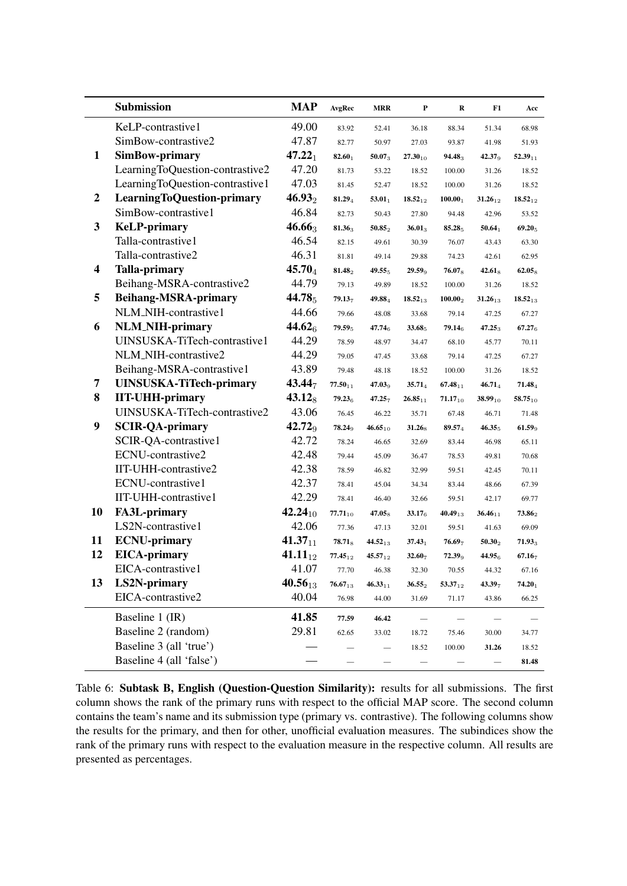<span id="page-19-0"></span>

|                  | Submission                        | <b>MAP</b>         | AvgRec                    | <b>MRR</b>         | P                  | R                         | F1                 | Acc          |
|------------------|-----------------------------------|--------------------|---------------------------|--------------------|--------------------|---------------------------|--------------------|--------------|
|                  | KeLP-contrastive1                 | 49.00              | 83.92                     | 52.41              | 36.18              | 88.34                     | 51.34              | 68.98        |
|                  | SimBow-contrastive2               | 47.87              | 82.77                     | 50.97              | 27.03              | 93.87                     | 41.98              | 51.93        |
| 1                | SimBow-primary                    | $47.22_1$          | 82.601                    | 50.07 <sub>3</sub> | $27.30_{10}$       | 94.48 <sub>3</sub>        | 42.37 <sub>9</sub> | $52.39_{11}$ |
|                  | LearningToQuestion-contrastive2   | 47.20              | 81.73                     | 53.22              | 18.52              | 100.00                    | 31.26              | 18.52        |
|                  | LearningToQuestion-contrastive1   | 47.03              | 81.45                     | 52.47              | 18.52              | 100.00                    | 31.26              | 18.52        |
| $\boldsymbol{2}$ | <b>LearningToQuestion-primary</b> | $46.93_2$          | 81.294                    | $53.01_1$          | $18.52_{12}$       | 100.00 <sub>1</sub>       | $31.26_{12}$       | $18.52_{12}$ |
|                  | SimBow-contrastive1               | 46.84              | 82.73                     | 50.43              | 27.80              | 94.48                     | 42.96              | 53.52        |
| 3                | <b>KeLP-primary</b>               | $46.66_3$          | 81.36 <sub>3</sub>        | $50.85_2$          | $36.01_3$          | 85.285                    | $50.64_1$          | $69.20_5$    |
|                  | Talla-contrastive1                | 46.54              | 82.15                     | 49.61              | 30.39              | 76.07                     | 43.43              | 63.30        |
|                  | Talla-contrastive2                | 46.31              | 81.81                     | 49.14              | 29.88              | 74.23                     | 42.61              | 62.95        |
| 4                | <b>Talla-primary</b>              | $45.70_4$          | 81.482                    | 49.555             | $29.59_9$          | <b>76.07</b> <sub>8</sub> | $42.61_8$          | $62.05_8$    |
|                  | Beihang-MSRA-contrastive2         | 44.79              | 79.13                     | 49.89              | 18.52              | 100.00                    | 31.26              | 18.52        |
| 5                | <b>Beihang-MSRA-primary</b>       | 44.785             | $79.13_7$                 | 49.884             | $18.52_{13}$       | $100.00_2$                | $31.26_{13}$       | $18.52_{13}$ |
|                  | NLM_NIH-contrastive1              | 44.66              | 79.66                     | 48.08              | 33.68              | 79.14                     | 47.25              | 67.27        |
| 6                | <b>NLM_NIH-primary</b>            | 44.62 <sub>6</sub> | $79.59_5$                 | $47.74_{6}$        | 33.68 <sub>5</sub> | <b>79.14</b> <sub>6</sub> | $47.25_3$          | $67.27_{6}$  |
|                  | UINSUSKA-TiTech-contrastive1      | 44.29              | 78.59                     | 48.97              | 34.47              | 68.10                     | 45.77              | 70.11        |
|                  | NLM_NIH-contrastive2              | 44.29              | 79.05                     | 47.45              | 33.68              | 79.14                     | 47.25              | 67.27        |
|                  | Beihang-MSRA-contrastive1         | 43.89              | 79.48                     | 48.18              | 18.52              | 100.00                    | 31.26              | 18.52        |
| 7                | <b>UINSUSKA-TiTech-primary</b>    | 43.447             | $77.50_{11}$              | $47.03_{9}$        | $35.71_4$          | $67.48_{11}$              | $46.71_4$          | $71.48_4$    |
| 8                | <b>IIT-UHH-primary</b>            | $43.12_8$          | $79.23_{6}$               | $47.25_{7}$        | $26.85_{11}$       | $71.17_{10}$              | $38.99_{10}$       | $58.75_{10}$ |
|                  | UINSUSKA-TiTech-contrastive2      | 43.06              | 76.45                     | 46.22              | 35.71              | 67.48                     | 46.71              | 71.48        |
| 9                | <b>SCIR-QA-primary</b>            | 42.72 <sub>9</sub> | <b>78.24</b> <sub>9</sub> | $46.65_{10}$       | $31.26_8$          | $89.57_4$                 | $46.35_5$          | $61.59_9$    |
|                  | SCIR-QA-contrastive1              | 42.72              | 78.24                     | 46.65              | 32.69              | 83.44                     | 46.98              | 65.11        |
|                  | ECNU-contrastive2                 | 42.48              | 79.44                     | 45.09              | 36.47              | 78.53                     | 49.81              | 70.68        |
|                  | IIT-UHH-contrastive2              | 42.38              | 78.59                     | 46.82              | 32.99              | 59.51                     | 42.45              | 70.11        |
|                  | ECNU-contrastive1                 | 42.37              | 78.41                     | 45.04              | 34.34              | 83.44                     | 48.66              | 67.39        |
|                  | IIT-UHH-contrastive1              | 42.29              | 78.41                     | 46.40              | 32.66              | 59.51                     | 42.17              | 69.77        |
| 10               | <b>FA3L-primary</b>               | $42.24_{10}$       | $77.71_{10}$              | $47.05_{8}$        | 33.17 <sub>6</sub> | $40.49_{13}$              | $36.46_{11}$       | $73.86_2$    |
|                  | LS2N-contrastive1                 | 42.06              | 77.36                     | 47.13              | 32.01              | 59.51                     | 41.63              | 69.09        |
| 11               | <b>ECNU-primary</b>               | $41.37_{11}$       | $78.71_8$                 | $44.52_{13}$       | $37.43_1$          | 76.697                    | $50.30_2$          | $71.93_3$    |
| 12               | <b>EICA-primary</b>               | 41.11 $_{12}$      | $77.45_{12}$              | $45.57_{12}$       | 32.607             | $72.39_9$                 | 44.95 $6$          | $67.16_7$    |
|                  | EICA-contrastive1                 | 41.07              | 77.70                     | 46.38              | 32.30              | 70.55                     | 44.32              | 67.16        |
| 13               | <b>LS2N-primary</b>               | $40.56_{13}$       | $76.67_{13}$              | $46.33_{11}$       | $36.55_2$          | $53.37_{12}$              | $43.39_7$          | $74.20_1$    |
|                  | EICA-contrastive2                 | 40.04              | 76.98                     | 44.00              | 31.69              | 71.17                     | 43.86              | 66.25        |
|                  | Baseline 1 (IR)                   | 41.85              | 77.59                     | 46.42              |                    |                           |                    |              |
|                  | Baseline 2 (random)               | 29.81              | 62.65                     | 33.02              | 18.72              | 75.46                     | 30.00              | 34.77        |
|                  | Baseline 3 (all 'true')           |                    |                           |                    | 18.52              | 100.00                    | 31.26              | 18.52        |
|                  | Baseline 4 (all 'false')          |                    | —                         |                    |                    |                           |                    | 81.48        |

Table 6: Subtask B, English (Question-Question Similarity): results for all submissions. The first column shows the rank of the primary runs with respect to the official MAP score. The second column contains the team's name and its submission type (primary vs. contrastive). The following columns show the results for the primary, and then for other, unofficial evaluation measures. The subindices show the rank of the primary runs with respect to the evaluation measure in the respective column. All results are presented as percentages.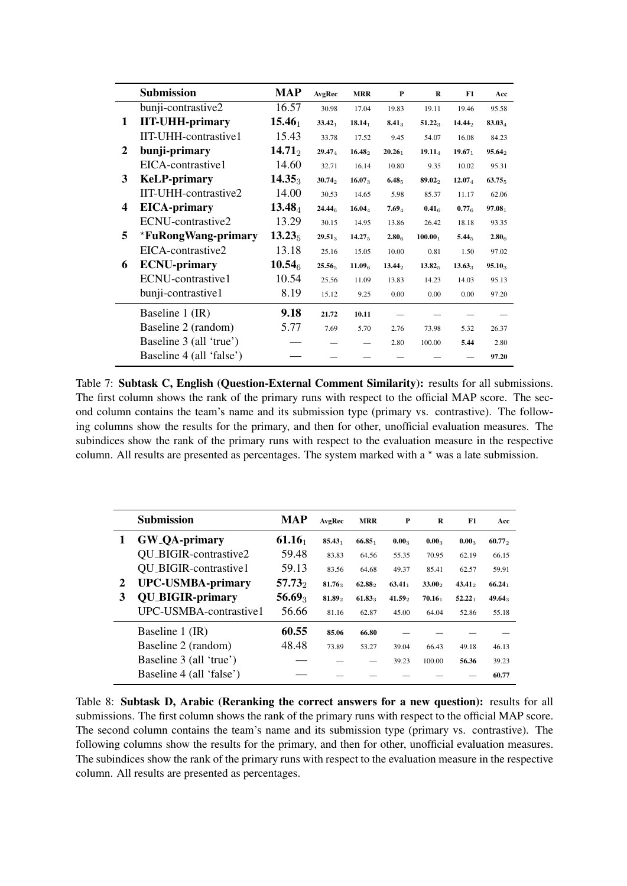<span id="page-20-0"></span>

|   | <b>Submission</b>        | <b>MAP</b>         | AvgRec             | <b>MRR</b>         | P                  | R                   | F1                 | Acc                |
|---|--------------------------|--------------------|--------------------|--------------------|--------------------|---------------------|--------------------|--------------------|
|   | bunji-contrastive2       | 16.57              | 30.98              | 17.04              | 19.83              | 19.11               | 19.46              | 95.58              |
| 1 | <b>IIT-UHH-primary</b>   | $15.46_1$          | $33.42_1$          | $18.14_1$          | $8.41_3$           | $51.22_3$           | 14.442             | 83.034             |
|   | IIT-UHH-contrastive1     | 15.43              | 33.78              | 17.52              | 9.45               | 54.07               | 16.08              | 84.23              |
| 2 | bunji-primary            | $14.71_2$          | 29.47 <sub>4</sub> | $16.48\degree$     | 20.26 <sub>1</sub> | $19.11_{4}$         | 19.67 <sub>1</sub> | 95.642             |
|   | EICA-contrastive1        | 14.60              | 32.71              | 16.14              | 10.80              | 9.35                | 10.02              | 95.31              |
| 3 | <b>KeLP-primary</b>      | $14.35_3$          | $30.74_2$          | $16.07_3$          | 6.48 <sub>5</sub>  | 89.02               | $12.07_{4}$        | 63.75 <sub>5</sub> |
|   | IIT-UHH-contrastive2     | 14.00              | 30.53              | 14.65              | 5.98               | 85.37               | 11.17              | 62.06              |
| 4 | <b>EICA-primary</b>      | $13.48_4$          | 24.446             | 16.044             | 7.694              | 0.41 <sub>6</sub>   | 0.776              | 97.08 <sub>1</sub> |
|   | ECNU-contrastive2        | 13.29              | 30.15              | 14.95              | 13.86              | 26.42               | 18.18              | 93.35              |
| 5 | *FuRongWang-primary      | $13.23_5$          | $29.51_3$          | 14.27 <sub>5</sub> | 2.80 <sub>6</sub>  | 100.00 <sub>1</sub> | 5.44 <sub>5</sub>  | 2.80 <sub>6</sub>  |
|   | EICA-contrastive2        | 13.18              | 25.16              | 15.05              | 10.00              | 0.81                | 1.50               | 97.02              |
| 6 | <b>ECNU-primary</b>      | 10.54 <sub>6</sub> | 25.565             | 11.09 <sub>6</sub> | $13.44_2$          | 13.82 <sub>5</sub>  | $13.63_3$          | $95.10_3$          |
|   | ECNU-contrastive1        | 10.54              | 25.56              | 11.09              | 13.83              | 14.23               | 14.03              | 95.13              |
|   | bunji-contrastive1       | 8.19               | 15.12              | 9.25               | 0.00               | 0.00                | 0.00               | 97.20              |
|   | Baseline 1 (IR)          | 9.18               | 21.72              | 10.11              |                    |                     |                    |                    |
|   | Baseline 2 (random)      | 5.77               | 7.69               | 5.70               | 2.76               | 73.98               | 5.32               | 26.37              |
|   | Baseline 3 (all 'true')  |                    |                    |                    | 2.80               | 100.00              | 5.44               | 2.80               |
|   | Baseline 4 (all 'false') |                    |                    |                    |                    |                     |                    | 97.20              |

Table 7: Subtask C, English (Question-External Comment Similarity): results for all submissions. The first column shows the rank of the primary runs with respect to the official MAP score. The second column contains the team's name and its submission type (primary vs. contrastive). The following columns show the results for the primary, and then for other, unofficial evaluation measures. The subindices show the rank of the primary runs with respect to the evaluation measure in the respective column. All results are presented as percentages. The system marked with a  $*$  was a late submission.

<span id="page-20-1"></span>

|   | <b>Submission</b>            | <b>MAP</b> | AvgRec             | <b>MRR</b>         | P                  | R                  | F1        | Acc       |
|---|------------------------------|------------|--------------------|--------------------|--------------------|--------------------|-----------|-----------|
| 1 | <b>GW_QA-primary</b>         | $61.16_1$  | 85.43 <sub>1</sub> | 66.85 <sub>1</sub> | $0.00_3$           | $0.00_3$           | $0.00_3$  | 60.772    |
|   | QU_BIGIR-contrastive2        | 59.48      | 83.83              | 64.56              | 55.35              | 70.95              | 62.19     | 66.15     |
|   | <b>QU_BIGIR-contrastive1</b> | 59.13      | 83.56              | 64.68              | 49.37              | 85.41              | 62.57     | 59.91     |
| 2 | <b>UPC-USMBA-primary</b>     | $57.73_2$  | 81.76 <sub>3</sub> | 62.88              | $63.41_1$          | $33.00\degree$     | $43.41_2$ | $66.24_1$ |
| 3 | <b>QU_BIGIR-primary</b>      | $56.69_3$  | 81.89              | $61.83_3$          | 41.59 <sub>2</sub> | 70.16 <sub>1</sub> | $52.22_1$ | $49.64_3$ |
|   | UPC-USMBA-contrastive1       | 56.66      | 81.16              | 62.87              | 45.00              | 64.04              | 52.86     | 55.18     |
|   | Baseline 1 (IR)              | 60.55      | 85.06              | 66.80              |                    |                    |           |           |
|   | Baseline 2 (random)          | 48.48      | 73.89              | 53.27              | 39.04              | 66.43              | 49.18     | 46.13     |
|   | Baseline 3 (all 'true')      |            |                    |                    | 39.23              | 100.00             | 56.36     | 39.23     |
|   | Baseline 4 (all 'false')     |            |                    |                    |                    |                    |           | 60.77     |

Table 8: Subtask D, Arabic (Reranking the correct answers for a new question): results for all submissions. The first column shows the rank of the primary runs with respect to the official MAP score. The second column contains the team's name and its submission type (primary vs. contrastive). The following columns show the results for the primary, and then for other, unofficial evaluation measures. The subindices show the rank of the primary runs with respect to the evaluation measure in the respective column. All results are presented as percentages.